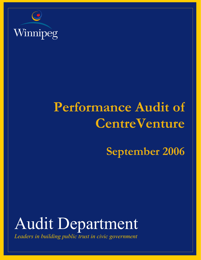

# **Performance Audit of CentreVenture**

**September 2006**



*Leaders in building public trust in civic government*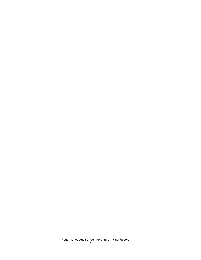Performance Audit of CentreVenture – Final Report  $\sim$  1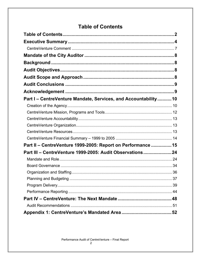# **Table of Contents**

| Part I - CentreVenture Mandate, Services, and Accountability 10 |  |
|-----------------------------------------------------------------|--|
|                                                                 |  |
|                                                                 |  |
|                                                                 |  |
|                                                                 |  |
|                                                                 |  |
|                                                                 |  |
| Part II - CentreVenture 1999-2005: Report on Performance  15    |  |
| Part III - CentreVenture 1999-2005: Audit Observations24        |  |
|                                                                 |  |
|                                                                 |  |
|                                                                 |  |
|                                                                 |  |
|                                                                 |  |
|                                                                 |  |
|                                                                 |  |
|                                                                 |  |
|                                                                 |  |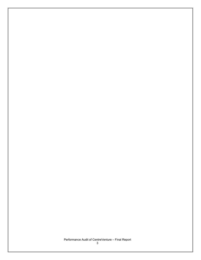Performance Audit of CentreVenture – Final Report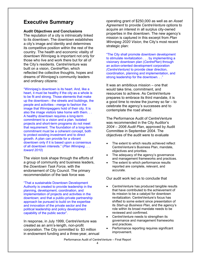# **Executive Summary**

#### **Audit Objectives and Conclusions**

The reputation of a city is intrinsically linked to its downtown. The downtown establishes a city's image and identity and determines its competitive position within the rest of the country. The health and economic vitality of downtown Winnipeg is important not only for those who live and work there but for all of the City's residents. CentreVenture was built on a vision, *CentrePlan*, which reflected the collective thoughts, hopes and dreams of Winnipeg's community leaders and ordinary citizens:

"Winnipeg's downtown is its heart. And, like a heart, it must be healthy if the city as a whole is to be fit and strong. Those elements that make up the downtown—the streets and buildings, the people and activities—merge to fashion the image that Winnipeggers hold of their city. It is also the image visitors take home with them. . . A healthy downtown requires a long-term commitment to a vision and a plan. Isolated projects and short-term programs do not meet that requirement. The foundation of a long-term commitment must be a coherent concept, both to protect existing investment and to direct growth. A plan can provide for a vibrant downtown only if it is based upon a consensus of all downtown interests." (*Plan Winnipeg . . . toward 2010*)

The vision took shape through the efforts of a group of community and business leaders, the *Downtown Task Force,* with the endorsement of City Council. The primary recommendation of the task force was

"That a sustainable Downtown Development Authority is created to provide leadership in the planning, development, coordination, and implementation of projects and activities in the downtown; and that a public-private partnership approach be pursued to build on the expertise and innovation of the private sector and the political leadership and policy development capability of the public sector".

In response, in July 1999, CentreVenture was created as an arm's-length, non-profit corporation. The City committed to \$3 million in endowment funding and a three-year, annual operating grant of \$250,000 as well as an *Asset Agreement* to provide *CentreVenture* options to acquire an interest in all surplus city-owned properties in the downtown. The new agency's mission is captured in this excerpt from *Plan Winnipeg 2020 Vision*, the City's most recent strategic plan:

"The City shall promote downtown development to stimulate revitalization . . . by implementing a visionary downtown plan (*CentrePlan*) through an action-oriented development corporation *(CentreVenture)* to provide clear direction, coordination, planning and implementation, and strong leadership for the downtown. . ."

It was an ambitious mission – one that would take time, commitment, and resources to achieve. As CentreVenture prepares to embrace its third mandate, it is a good time to review the journey so far – to celebrate the agency's successes and to contemplate the road ahead.

The Performance Audit of CentreVenture was recommended in the City Auditor's *2004 – 2006 Audit Plan*, approved by Audit Committee in September 2004. The objectives of the audit were to evaluate

- The extent to which results achieved reflect CentreVenture's Business Plan, mandate, objectives and priorities.
- The adequacy of the agency's governance and management frameworks and practices.
- The extent to which performance results reported are complete, relevant, and accurate.

Our audit work led us to conclude that

- CentreVenture has produced tangible results that have contributed to the achievement of its mission to be a catalyst for downtown revitalization. CentreVenture's focus has shifted to some extent since presentation of its *Start-up Business Plan,* and the agency's role within its broad mandate needs to be reviewed and confirmed.
- CentreVenture needs to strengthen its governance and management frameworks and practices.
- Performance reporting requires significant improvement.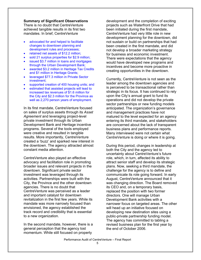#### **Summary of Significant Observations**

There is no doubt that CentreVenture achieved tangible results in its first two mandates. In brief, CentreVenture

- advocated for and helped to facilitate changes to downtown planning and development rules and processes;
- retained net assets of \$12.2 million;
- sold 21 surplus properties for \$2.9 million;
- issued \$3.7 million in loans and mortgages through the Urban Development Bank;
- awarded \$3.2 million in Heritage Tax Credits and \$1 million in Heritage Grants;
- leveraged \$77.3 million in Private Sector investment;
- supported creation of 400 housing units; and
- estimated that assisted projects will lead to increased tax revenues of \$1.6 million for the City and \$2.3 million for the Province as well as 2,270 person years of employment.

In its first mandate, CentreVenture focused on sales of surplus assets through its *Asset Agreement* and leveraging project-level private investment through its Urban Development Bank and Heritage incentive programs. Several of the tools employed were creative and resulted in tangible results. More importantly, CentreVenture created a 'buzz' and sparked new interest in the downtown. The agency attracted almost constant media attention.

CentreVenture also played an effective advocacy and facilitation role in promoting broader issues and relevant projects in the downtown. Significant private sector investment was leveraged through its activities. Partnerships were built with the City, the Province and the other downtown agencies. There is no doubt that CentreVenture was perceived as a leader and important catalyst for downtown revitalization in the first few years. While its mandate was more narrowly focused than envisioned, the agency established the track record and credibility that is essential to a new organization.

In the second mandate, however, there is a general perception that the agency lost momentum. While still focused on property

development and the completion of exciting projects such as Waterfront Drive that had been initiated during the first mandate, CentreVenture had very little role in new development planning for the downtown, did not sustain or build on partnerships that had been created in the first mandate, and did not develop a broader marketing strategy for business and economic investment. There were expectations that the agency would have developed new programs and incentives and become more proactive in creating opportunities in the downtown.

Currently, CentreVenture is not seen as the leader among the downtown agencies and is perceived to be transactional rather than strategic in its focus. It has continued to rely upon the City's annual grant to fund its operations and did not develop the private sector partnerships or new funding models anticipated. The organization's governance and management practices have not matured to the level expected for an agency entering its third mandate, and stakeholders are concerned about the lack of transparent business plans and performance reports. Many interviewed were not certain what CentreVenture is doing or where it is going.

During this period, changes in leadership at both the City and the agency led to uncertainty about CentreVenture's future role, which, in turn, affected its ability to attract senior staff and develop its strategic plans. Now, seeking a third mandate, the challenge for the agency is to define and communicate its role going forward. In early August, CentreVenture announced that it was changing direction. The Board removed its CEO and, on a temporary basis, replaced the position with two former directors. One will manage Urban Development Bank activities with a narrower focus on targeted areas. The other will head up an initiative focused on developing new destination sites using a public-private partnership funding model. The agency has committed to tabling a revised business plan for the first year by the end of October 2006.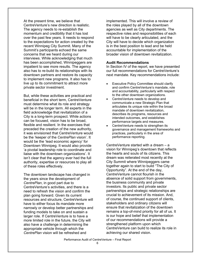At the present time, we believe that CentreVenture's new direction is realistic. The agency needs to re-establish the momentum and credibility that it has lost over the past few years. It needs to respond to the expectations for action created by the recent Winnipeg City Summit. Many of the Summit's participants echoed the same concerns that we heard during our interviews. While acknowledging that much has been accomplished, Winnipeggers are impatient to see more results. The agency also has to re-build its relationships with its downtown partners and restore its capacity to implement new programs. It also has to live up to its commitment to attract more private sector investment.

But, while these activities are practical and beneficial in the short term, CentreVenture must determine what its role and strategy will be in the longer term. All experts in the field acknowledge that revitalization of a City is a long-term prospect. While actions can be focused, vision has to be broad, flexible and resilient. In the exercises that preceded the creation of the new authority, it was envisioned that CentreVenture would be the 'keeper of the *CentrePlan* vision'. It would be the 'lead economic agency' for Downtown Winnipeg. It would also provide 'a pivotal leadership role to coordinate and liaise with the downtown organizations'. It isn't clear that the agency ever had the full authority, expertise or resources to play all of these roles effectively.

The downtown landscape has changed in the years since the development of *CentrePlan*, in good part due to CentreVenture's activities, and there is a need to refresh the vision and confirm the plan going forward. Given its current resources and structure, CentreVenture will have to either focus its mandate more narrowly or develop better partnerships and funding models to take on and sustain a larger role. If CentreVenture is to have a more limited role in the future, the City will also have a challenge in determining the appropriate vehicle through which the *CentrePlan* vision will be refreshed and

implemented. This will involve a review of the roles played by all of the downtown agencies as well as City departments. The respective roles and responsibilities of each will have to be clearly articulated, and the City will have to decide which organization is in the best position to lead and be held accountable for implementation of the broader vision of downtown revitalization.

#### **Audit Recommendations**

In Section IV of the report, we have presented our full recommendations for CentreVenture's next mandate. Key recommendations include:

- **Executive Policy Committee should clarify** and confirm CentreVenture's mandate, role and accountability, particularly with respect to the other downtown organizations.
- CentreVenture needs to develop and communicate a new Strategic Plan that articulates its unique role within the broad mandate of downtown revitalization, describes its programs, resources and intended outcomes, and establishes performance targets and measures.
- CentreVenture needs to strengthen its governance and management frameworks and practices, particularly in the area of performance reporting.

CentreVenture started with a dream – a vision for Winnipeg's downtown that reflects the hearts and souls of its citizens. This dream was reiterated most recently at the City Summit where Winnipeggers came together again to start to build "The City of Opportunity". At the end of the day, CentreVenture cannot flourish in the absence of solid support from governments, the business community and private investors. Its public and private sector partnerships and strategic relationships are crucial to achievement of its mission. And, of course, the continued support of clients, stakeholders and ordinary citizens will ensure that revitalization of the downtown remains a top-of-mind priority for all of us. It is our hope and belief that implementation of our recommendations will provide a strengthened platform upon which CentreVenture can build to realize its role in achieving our shared vision.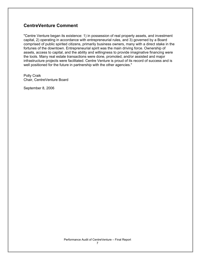### **CentreVenture Comment**

"Centre Venture began its existence: 1) in possession of real property assets, and investment capital, 2) operating in accordance with entrepreneurial rules, and 3) governed by a Board comprised of public spirited citizens, primarily business owners, many with a direct stake in the fortunes of the downtown. Entrepreneurial spirit was the main driving force. Ownership of assets, access to capital, and the ability and willingness to provide imaginative financing were the tools. Many real estate transactions were done, promoted, and/or assisted and major infrastructure projects were facilitated. Centre Venture is proud of its record of success and is well positioned for the future in partnership with the other agencies."

Polly Craik Chair, CentreVenture Board

September 8, 2006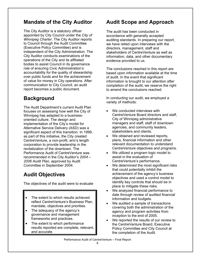# **Mandate of the City Auditor**

The City Auditor is a statutory officer appointed by City Council under the *City of Winnipeg Charter*. The City Auditor reports to Council through the Audit Committee (Executive Policy Committee) and is independent of the City Administration. The City Auditor conducts examinations of the operations of the City and its affiliated bodies to assist Council in its governance role of ensuring Civic Administration's accountability for the quality of stewardship over public funds and for the achievement of value for money in City operations. After communication to City Council, an audit report becomes a public document.

# **Background**

The Audit Department's current Audit Plan focuses on assessing how well the City of Winnipeg has adapted to a businessoriented culture. The design and implementation of the City's model for Alternative Service Delivery (ASD) was a significant aspect of this transition. In 1999, as part of this initiative, the City created CentreVenture, a non-profit, arm's length corporation to provide leadership in the revitalization of the downtown. The Performance Audit of CentreVenture was recommended in the City Auditor's *2004 – 2006 Audit Plan*, approved by Audit Committee in September 2004.

# **Audit Objectives**

The objectives of the audit were to evaluate

- The extent to which results achieved reflect CentreVenture's Business Plan, mandate, objectives and priorities.
- The adequacy of the agency's governance and management frameworks and practices.
- The extent to which performance results reported are complete, relevant, and accurate.

# **Audit Scope and Approach**

The audit has been conducted in accordance with generally accepted auditing standards. In preparing our report, we have relied upon interviews with the directors, management, staff and stakeholders of CentreVenture as well as information, data, and other documentary evidence provided to us.

The conclusions reached in this report are based upon information available at the time of audit. In the event that significant information is brought to our attention after completion of the audit, we reserve the right to amend the conclusions reached.

In conducting our audit, we employed a variety of methods:

- We conducted interviews with CentreVenture Board directors and staff, City of Winnipeg administrative managers and staff, staff of downtown agencies, and community leaders, stakeholders and clients.
- We obtained and reviewed reports. plans, financial information and other relevant documentation to understand CentreVenture objectives and programs.
- We utilized a program logic model to assist in the evaluation of CentreVenture's performance.
- We determined the most significant risks that could potentially inhibit the achievement of the agency's business objectives and used a control model to identify key controls that should be in place to mitigate these risks.
- We analyzed financial performance to date through review of audited financial information and budgets.
- We audited a sample of transactions covering both the administration of the agency and program activities from inception to the end of 2005.
- We reported the results of our review to the CentreVenture Board, Executive Policy Committee and City Council at the completion of the Audit.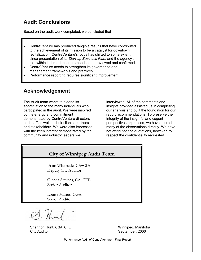# **Audit Conclusions**

Based on the audit work completed, we concluded that

- CentreVenture has produced tangible results that have contributed to the achievement of its mission to be a catalyst for downtown revitalization. CentreVenture's focus has shifted to some extent since presentation of its *Start-up Business Plan,* and the agency's role within its broad mandate needs to be reviewed and confirmed.
- CentreVenture needs to strengthen its governance and management frameworks and practices.
- Performance reporting requires significant improvement.

### **Acknowledgement**

The Audit team wants to extend its appreciation to the many individuals who participated in the audit. We were inspired by the energy and commitment demonstrated by CentreVenture directors and staff as well as their clients, partners and stakeholders. We were also impressed with the keen interest demonstrated by the community and industry leaders we

interviewed. All of the comments and insights provided assisted us in completing our analysis and built the foundation for our report recommendations. To preserve the integrity of the insightful and cogent perspectives expressed, we have quoted many of the observations directly. We have not attributed the quotations, however, to respect the confidentiality requested.

### **City of Winnipeg Audit Team**

Brian Whiteside, CA•CIA Deputy City Auditor

Glenda Stevens, CA, CFE Senior Auditor

Louise Marius, CGA Senior Auditor

 $\mathcal{L}_\text{max}$  , and the set of the set of the set of the set of the set of the set of the set of the set of the set of the set of the set of the set of the set of the set of the set of the set of the set of the set of the

Shannon Hunt, CGA, CFE Winnipeg, Manitoba City Auditor **September, 2006** 

Performance Audit of CentreVenture – Final Report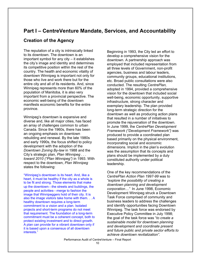# **Part I – CentreVenture Mandate, Services, and Accountability**

### **Creation of the Agency**

The reputation of a city is intrinsically linked to its downtown. The downtown is an important symbol for any city – it establishes the city's image and identity and determines its competitive position within the rest of the country. The health and economic vitality of downtown Winnipeg is important not only for those who live and work there but for the entire city and all of its residents. And, since Winnipeg represents more than 60% of the population of Manitoba, it is also very important from a provincial perspective. The economic well-being of the downtown manifests economic benefits for the entire province.

Winnipeg's downtown is expansive and diverse and, like all major cities, has faced an array of challenges common to urban Canada. Since the 1960s, there has been an ongoing emphasis on downtown rebuilding and renewal. By the late 1980s and early 1990s, the focus shifted to policy development with the adoption of the *Downtown Zoning By-law* in 1988 and the City's strategic plan, *Plan Winnipeg . . . toward 2010 ("Plan Winnipeg")* in 1993. With respect to the downtown, *Plan Winnipeg*  states the following:

"Winnipeg's downtown is its heart. And, like a heart, it must be healthy if the city as a whole is to be fit and strong. Those elements that make up the downtown—the streets and buildings, the people and activities—merge to fashion the image that Winnipeggers hold of their city. It is also the image visitors take home with them. . . A healthy downtown requires a long-term commitment to a vision and a plan. Isolated projects and short-term programs do not meet that requirement. The foundation of a long-term commitment must be a coherent concept, both to protect existing investment and to direct growth. A plan can provide for a vibrant downtown only if it is based upon a consensus of all downtown interests."

Beginning in 1993, the City led an effort to develop a comprehensive vision for the downtown. A partnership approach was employed that included representation from all three levels of Government, non-profit agencies, business and labour leaders, community groups, educational institutions, etc. Broad public consultations were also conducted. The resulting *CentrePlan,*  adopted in 1994, provided a comprehensive vision for the downtown that included social well-being, economic opportunity, supportive infrastructure, strong character and exemplary leadership. The plan provided long-term strategic direction for the downtown as well as producing action plans that resulted in a number of initiatives to promote the rejuvenation of the downtown. In June 1999, the *CentrePlan Development Framework ("Development Framework")* was produced to provide a coordinated plan based primarily on the physical environment, incorporating social and economic dimensions. Implicit in the plan's evolution was the assumption that its concepts and plans should be implemented by a duly constituted authority under political leadership.

One of the key recommendations of the *CentrePlan Action Plan 1997-99* was to *"explore the possibility of creating a downtown planning and development corporation…"* In June 1998, Economic Development Winnipeg struck a Downtown Task Force comprised of community and business leaders to address the challenges and identify opportunities facing Downtown Winnipeg. The task force was endorsed by Executive Policy Committee in July 1998; the goal of the task force was "*to create a sustainable model for downtown planning and development and coordinate present and future public and private sector efforts to achieve downtown revitalization".*

Performance Audit of CentreVenture – Final Report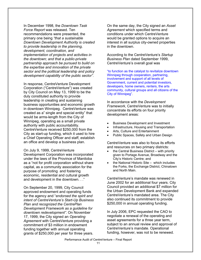In December 1998, the *Downtown Task Force Report* was released. Ten recommendations were presented, the primary one being *"that a sustainable Downtown Development Authority is created to provide leadership in the planning, development, coordination, and implementation of projects and activities in the downtown; and that a public-private partnership approach be pursued to build on the expertise and innovation of the private sector and the political leadership and policy development capability of the public sector".* 

In response, CentreVenture Development Corporation ("CentreVenture") was created by City Council on May 13, 1999 to be the duly constituted authority to provide leadership in creating and sustaining business opportunities and economic growth in downtown Winnipeg. CentreVenture was created as a" single and special entity" that would be arms-length from the City of Winnipeg, operating as a small private authority with public accountability. CentreVenture received \$250,000 from the City as start-up funding, which it used to hire a Chief Operating Officer and staff, establish an office and develop a business plan.

On July 9, 1999, CentreVenture

Development Corporation was incorporated under the laws of the Province of Manitoba as a "not for profit corporation without share capital, as a community association for the purpose of promoting and fostering economic, residential and cultural growth and development in the downtown. . ."

On September 20, 1999, City Council approved endowment and operating funds for the agency and "*endorsed the spirit and intent of CentreVenture's Start-Up Business Plan and recognized the CentrePlan Development Framework as a guideline for downtown redevelopment".* On November 17, 1999, the City signed an *Operating Agreement* with CentreVenture providing a commitment of \$3 million in endowment funding together with annual operating grants of \$250,000 per year for three years.

On the same day, the City signed an *Asset Agreement* which specified terms and conditions under which CentreVenture would be granted options to acquire an interest in all surplus city-owned properties in the downtown.

According to the CentreVenture's *Startup Business Plan* dated September 1999, CentreVenture's overall goal was

"to function as the catalyst to revitalize downtown Winnipeg through cooperation, partnering, involvement and support of all levels of Government, current and potential investors, developers, home owners, renters, the arts community, cultural groups and all citizens of the City of Winnipeg".

In accordance with the *Development Framework*, CentreVenture was to initially concentrate its efforts on four priority development areas:

- Business Development and Investment
- Infrastructure, Housing and Transportation
- Arts, Culture and Entertainment
- Public Spaces, Safety and Urban Design

CentreVenture was also to focus its efforts and resources on two primary districts:

- the Central Business District with priority given to Portage Avenue, Broadway and the City's Historic Centre; and
- the National Historic Site which includes the Forks, the Exchange District, Chinatown and North Main.

CentreVenture's mandate was renewed in June 2002 for an additional four years. City Council provided an additional \$7 million for the Urban Development Bank and expanded CentreVenture's mandated area. The City also continued its commitment to provide \$250,000 in annual operating funding.

In July 2006, EPC requested the CAO to negotiate a renewal of the operating and asset agreements for a three year term, subject to an annual review and approval of CentreVenture's mandate. Operational funding, however, was not to be renewed.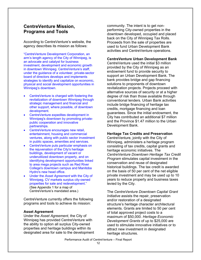### **CentreVenture Mission, Programs and Tools**

According to CentreVenture's website, the agency describes its mission as follows:

"CentreVenture Development Corporation, an arm's length agency of the City of Winnipeg, is an advocate and catalyst for business investment, development and economic growth in downtown Winnipeg. CentreVenture's staff, under the guidance of a volunteer, private-sector board of directors develops and implements strategies to identify and capitalize on economic, physical and social development opportunities in Winnipeg's downtown.

- CentreVenture is charged with fostering the revitalization of downtown Winnipeg through strategic management and financial and other support, where possible, of downtown development.
- CentreVenture expedites development in Winnipeg's downtown by promoting privatepublic cooperation and innovative partnerships.
- CentreVenture encourages new retail, entertainment, housing and commercial ventures, along with public sector investment in public spaces, amenities and services.
- CentreVenture puts particular emphasis on the rejuvenation of the City's heritage buildings, development of vacant or underutilized downtown property, and on identifying development opportunities linked to area mega projects such as Red River College's downtown campus and Manitoba Hydro's new head office.
- Under the *Asset Agreement* with the City of Winnipeg, CV markets surplus city-owned properties for sale and redevelopment." (See Appendix 1 for a map of CentreVenture's mandated area.)

CentreVenture currently offers the following programs and tools to achieve its mission:

#### **Asset Agreement**

Under the *Asset Agreement*, the City of Winnipeg has provided CentreVenture with the ability to option all surplus City-owned properties and heritage buildings within its designated area for sale to the development community. The intent is to get nonperforming City-owned properties in the downtown developed, occupied and placed back on the City of Winnipeg Tax Rolls. Proceeds from the sale of properties are used to fund Urban Development Bank activities and CentreVenture operations.

#### **CentreVenture Urban Development Bank**

CentreVenture used the initial \$3 million provided by the City of Winnipeg as an endowment fund to provide security to support an Urban Development Bank. The bank provides bridge and gap financing solutions to proponents of downtown revitalization projects. Projects proceed with alternative sources of security or at a higher degree of risk than those available through conventional lenders. Urban Bank activities include bridge financing of heritage tax credits, mortgage financing and loan guarantees. Since the initial endowment, the City has contributed an additional \$7 million and the Province \$1.47 million to the Urban Development Bank.

#### **Heritage Tax Credits and Preservation**

CentreVenture, jointly with the City of Winnipeg, administers a heritage program consisting of tax credits, capital grants and heritage economic initiatives. The *CentreVenture Downtown Heritage Tax Credit Program* stimulates capital investment in the conservation and reuse of designated historical buildings. The tax credit is awarded on the basis of 50 per cent of the net eligible private investment and may be used up to 10 years to reduce property and business taxes levied by the City.

The *CentreVenture Downtown Capital Grant Initiative* assists the repair, preservation and/or restoration of a designated structure's heritage character architectural elements. Grants are limited to 50 per cent of total approved project costs to a maximum of \$50,000. *Heritage Economic Development Grants* of up to \$25,000 are used to stimulate innovative initiatives or to attract new investment in designated heritage structures.

Performance Audit of CentreVenture – Final Report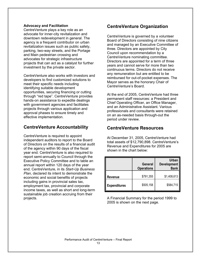#### **Advocacy and Facilitation**

CentreVenture plays a key role as an advocate for inner-city revitalization and downtown redevelopment in general. The agency is a frequent contributor on urban revitalization issues such as public safety, parking, two-way streets, and the Portage and Main pedestrian crossing and advocates for strategic infrastructure projects that can act as a catalyst for further investment by the private sector.

CentreVenture also works with investors and developers to find customized solutions to meet their specific needs including identifying suitable development opportunities, securing financing or cutting through "red tape". CentreVenture provides hands-on assistance to expedite dealings with government agencies and facilitates projects through various application and approval phases to ensure timely and effective implementation.

### **CentreVenture Accountability**

CentreVenture is required to appoint independent auditors to report to the Board of Directors on the results of a financial audit of the agency within 90 days of the fiscal year end. CentreVenture is also required to report semi-annually to Council through the Executive Policy Committee and to table an annual report within 120 days of the year end. CentreVenture, in its *Start-Up Business Plan*, declared its intent to demonstrate the economic and social benefits of projects including gains in provincial sales tax, employment tax, provincial and corporate income taxes, as well as short and long-term sustainable job creation accruing from their projects.

### **CentreVenture Organization**

CentreVenture is governed by a volunteer Board of Directors consisting of nine citizens and managed by an Executive Committee of three. Directors are appointed by City Council upon recommendation by a CentreVenture nominating committee. Directors are appointed for a term of three years and cannot serve for more than two continuous terms. Directors do not receive any remuneration but are entitled to be reimbursed for out-of-pocket expenses. The Mayor serves as the honorary Chair of CentreVenture's Board.

At the end of 2005, CentreVenture had three permanent staff resources: a President and Chief Operating Officer, an Office Manager, and an Administrative Assistant. Various professionals and consultants were retained on an as-needed basis through-out the period under review.

### **CentreVenture Resources**

At December 31, 2005, CentreVenture had total assets of \$12,790,898. CentreVenture's Revenue and Expenditures for 2005 are shown in the chart below:

|                     | General<br><b>Operations</b> | Urban<br><b>Development</b><br><b>Bank</b> |
|---------------------|------------------------------|--------------------------------------------|
| Revenue             | \$791,355                    | \$1,408,613                                |
| <b>Expenditures</b> | \$505,158                    | \$584,715                                  |

A Financial Summary for the period 1999 to 2005 is shown on the next page.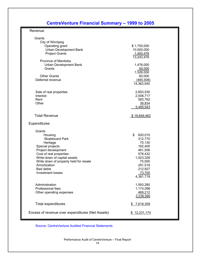# **CentreVenture Financial Summary – 1999 to 2005**

| Revenue                                          |               |
|--------------------------------------------------|---------------|
| Grants                                           |               |
| City of Winnipeg                                 |               |
| Operating grant                                  | \$1,750,000   |
| Urban Development Bank                           | 10,000,000    |
| <b>Project Grants</b>                            | 1,493,476     |
|                                                  | 13,243,476    |
| Province of Manitoba                             |               |
| Urban Development Bank                           | 1,476,000     |
| Grants                                           | 50,000        |
|                                                  | 1,526,000     |
| <b>Other Grants</b>                              | 60,000        |
| Deferred revenue                                 | (465, 936)    |
|                                                  | 14,363,540    |
|                                                  |               |
| Sale of real properties                          | 2,853,530     |
| Interest                                         | 2,008,717     |
| Rent                                             | 583,762       |
| Other                                            | 39,934        |
|                                                  | 5,485,943     |
|                                                  |               |
| <b>Total Revenue</b>                             | \$19,849,483  |
|                                                  |               |
| Expenditures                                     |               |
| Grants                                           |               |
| Housing                                          | \$<br>620,010 |
| <b>Skateboard Park</b>                           | 312,770       |
| Heritage                                         | 70,130        |
| Special projects                                 | 162,400       |
| Project development                              | 461,506       |
| Cost of real properties                          | 578,432       |
| Write-down of capital assets                     | 1,523,326     |
| Write down of property held for resale           | 75,000        |
| Amortization                                     | 291,518       |
| <b>Bad debts</b>                                 | 212,927       |
| <b>Investment losses</b>                         | 73,700        |
|                                                  | 4,381,719     |
|                                                  |               |
| Administration                                   | 1,593,280     |
| Professional fees                                | 1,174,098     |
| Other operating expenses                         | 469,212       |
|                                                  | 3,236,590     |
|                                                  |               |
| Total expenditures                               | \$7,618,309   |
|                                                  |               |
| Excess of revenue over expenditures (Net Assets) | \$12,231,174  |
|                                                  |               |

Source: CentreVenture Audited Financial Statements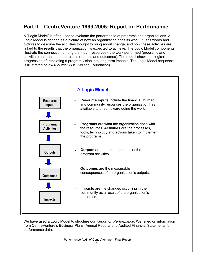# **Part II – CentreVenture 1999-2005: Report on Performance**

A "Logic Model" is often used to evaluate the performance of programs and organizations. A Logic Model is defined as a picture of how an organization does its work. It uses words and pictures to describe the activities thought to bring about change, and how these activities are linked to the results that the organization is expected to achieve. The Logic Model components illustrate the connection among the input (resources), the work performed (programs and activities) and the intended results (outputs and outcomes). The model shows the logical progression of translating a program vision into long-term impacts. The Logic Model sequence is illustrated below (Source: W.K. Kellogg Foundation**).** 



We have used a Logic Model to structure our *Report on Performance.* We relied on information from CentreVenture's Business Plans, Annual Reports and Audited Financial Statements for performance data.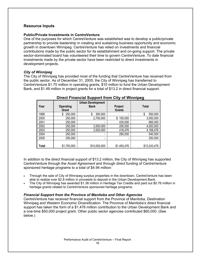#### **Resource Inputs**

#### **Public/Private Investments in CentreVenture**

One of the purposes for which CentreVenture was established was to develop a public/private partnership to provide leadership in creating and sustaining business opportunity and economic growth in downtown Winnipeg. CentreVenture has relied on investments and financial contributions made by the public sector for its establishment and on-going support. The private sector-dominated board has volunteered their time to govern CentreVenture. To date financial investments made by the private sector have been restricted to direct investments in development projects.

#### *City of Winnipeg*

The City of Winnipeg has provided most of the funding that CentreVenture has received from the public sector. As of December 31, 2005, the City of Winnipeg has transferred to CentreVenture \$1.75 million in operating grants, \$10 million to fund the Urban Development Bank, and \$1.49 million in project grants for a total of \$13.2 in direct financial support.

|              |                  | <b>Urban Development</b> |               |               |
|--------------|------------------|--------------------------|---------------|---------------|
| Year         | <b>Operating</b> | <b>Bank</b>              | Project       | <b>Total</b>  |
|              | Grant            |                          | <b>Grants</b> |               |
| 1999         | 250,000<br>\$    | 300,000<br>\$            |               | 550,000<br>\$ |
| 2000         | 250,000          | 2,700,000                | \$<br>100,000 | 3,050,000     |
| 2001         | 250,000          |                          | 435,000       | 685,000       |
| 2002         | 250,000          | 3,500,000                | 250,000       | 4,000,000     |
| 2003         | 250,000          | 3,500,000                | 418,476       | 4,168,476     |
| 2004         | 250,000          |                          | 290,000       | 540,000       |
| 2005         | 250,000          |                          |               | 250,000       |
|              |                  |                          |               |               |
| <b>Total</b> | \$1,750,000      | \$10,000,000             | \$1,493,476   | \$13,243,476  |

#### **Direct Financial Support from City of Winnipeg**

In addition to the direct financial support of \$13.2 million, the City of Winnipeg has supported CentreVenture through the *Asset Agreement* and through direct funding of CentreVenture sponsored heritage programs to a total of \$4.94 million:

- Through the sale of City of Winnipeg surplus properties in the downtown, CentreVenture has been able to realize over \$2.8 million in proceeds to deposit in the Urban Development Bank.
- The City of Winnipeg has awarded \$1.38 million in Heritage Tax Credits and paid out \$0.76 million in heritage grants related to CentreVenture sponsored heritage programs.

#### *Financial Support from the Province of Manitoba and Other Agencies*

CentreVenture has received financial support from the Province of Manitoba, Destination Winnipeg and Western Economic Diversification. The Province of Manitoba's direct financial support has taken the form of a \$1.476 million contribution to the Urban Development Bank and a one-time \$50,000 project grant. Other public sector agencies contributed \$60,000. (See below.)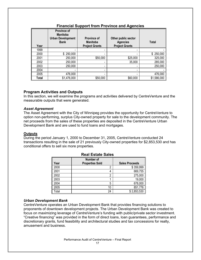| Year  | <b>Province of</b><br><b>Manitoba</b><br><b>Urban Development</b><br><b>Bank</b> | <b>Province of</b><br><b>Manitoba</b><br><b>Project Grants</b> | Other public sector<br><b>Agencies</b><br><b>Project Grants</b> | <b>Total</b> |
|-------|----------------------------------------------------------------------------------|----------------------------------------------------------------|-----------------------------------------------------------------|--------------|
| 1999  | $\overline{\phantom{a}}$                                                         |                                                                |                                                                 |              |
| 2000  | \$250,000                                                                        |                                                                |                                                                 | \$250,000    |
| 2001  | 250,000                                                                          | \$50,000                                                       | \$25,000                                                        | 325,000      |
| 2002  | 250,000                                                                          |                                                                | 35,000                                                          | 285,000      |
| 2003  | 250,000                                                                          |                                                                |                                                                 | 250,000      |
| 2004  | $\overline{\phantom{a}}$                                                         |                                                                |                                                                 |              |
| 2005  | 476,000                                                                          |                                                                |                                                                 | 476,000      |
| Total | \$1,476,000                                                                      | \$50,000                                                       | \$60,000                                                        | \$1,586,000  |

#### **Financial Support from Province and Agencies**

#### **Program Activities and Outputs**

In this section, we will examine the programs and activities delivered by CentreVenture and the measurable outputs that were generated.

#### *Asset Agreement*

The Asset Agreement with the City of Winnipeg provides the opportunity for CentreVenture to option non-performing, surplus City-owned property for sale to the development community. The net proceeds from the sales of these properties are deposited in the CentreVenture Urban Development Bank and are used to fund loans and mortgages.

#### **Outputs**

During the period January 1, 2000 to December 31, 2005, CentreVenture conducted 24 transactions resulting in the sale of 21 previously City-owned properties for \$2,853,530 and has conditional offers to sell six more properties.

| Year  | <b>Number of</b><br><b>Properties Sold</b> | <b>Sales Proceeds</b> |
|-------|--------------------------------------------|-----------------------|
| 2000  |                                            | \$359,999             |
| 2001  | 4                                          | 669,755               |
| 2002  | Ω                                          | 275,000               |
| 2003  |                                            | 19,000                |
| 2004  | 5                                          | 678,000               |
| 2005  | 10                                         | 851,776               |
| Total | 24                                         | \$2,853,530           |

#### **Real Estate Sales**

#### *Urban Development Bank*

CentreVenture operates an Urban Development Bank that provides financing solutions to proponents of downtown development projects. The Urban Development Bank was created to focus on maximizing leverage of CentreVenture's funding with public/private sector investment. "Creative financing" was provided in the form of direct loans, loan guarantees, performance and discretionary grants, fund feasibility and architectural studies and tax concessions for realty, amusement and business.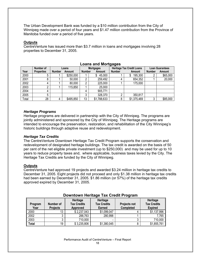The Urban Development Bank was funded by a \$10 million contribution from the City of Winnipeg made over a period of four years and \$1.47 million contribution from the Province of Manitoba funded over a period of five years.

#### **Outputs**

CentreVenture has issued more than \$3.7 million in loans and mortgages involving 28 properties to December 31, 2005.

|       | Number of         | Loans         |           | <b>Mortgages</b> |               | ິ<br><b>Heritage Tax Credit Loans</b> |             | <b>Loan Guarantees</b> |          |
|-------|-------------------|---------------|-----------|------------------|---------------|---------------------------------------|-------------|------------------------|----------|
| Year  | <b>Properties</b> | <b>Number</b> | Amount    | <b>Number</b>    | <b>Amount</b> | <b>Number</b>                         | Amount      | <b>Number</b>          | Amount   |
| 2000  |                   |               | \$250,000 |                  | 45,000        |                                       | 195,300     |                        | \$65,000 |
| 2001  |                   |               | 50,000    |                  | 259,492       |                                       | 654,352     |                        | 20,000   |
| 2002  |                   |               | 80,000    | റ                | 225,000       |                                       | 175,000     |                        |          |
| 2003  |                   |               | 115,850   |                  | 25,000        |                                       |             |                        |          |
| 2004  |                   |               |           |                  | 905,771       |                                       |             |                        |          |
| 2005  |                   |               |           |                  | 328,370       |                                       | 350,817     |                        |          |
| Total | 28                |               | \$495,850 | 13               | \$1,788,633   |                                       | \$1,375,469 |                        | \$85,000 |

#### **Loans and Mortgages**

#### *Heritage Programs*

Heritage programs are delivered in partnership with the City of Winnipeg. The programs are jointly administered and sponsored by the City of Winnipeg. The Heritage programs are intended to encourage the preservation, restoration, and rehabilitation of the City Winnipeg's historic buildings through adaptive reuse and redevelopment.

#### *Heritage Tax Credits*

The CentreVenture Downtown Heritage Tax Credit Program supports the conservation and redevelopment of designated heritage buildings. The tax credit is awarded on the basis of 50 per cent of the net eligible private investment (up to \$250,000) and may be used for up to 10 years to reduce property taxes and, where applicable, business taxes levied by the City. The Heritage Tax Credits are funded by the City of Winnipeg.

#### **Outputs**

CentreVenture had approved 19 projects and awarded \$3.24 million in heritage tax credits to December 31, 2005. Eight projects did not proceed and only \$1.38 million in heritage tax credits had been earned by December 31, 2005. \$1.86 million (or 57%) of the heritage tax credits approved expired by December 31, 2005.

| <b>DOMILIOMIL LIGHLAGG TAA OLGUIL LIGHLAHI</b> |                              |                                            |                                                 |                                         |                                                  |  |  |  |
|------------------------------------------------|------------------------------|--------------------------------------------|-------------------------------------------------|-----------------------------------------|--------------------------------------------------|--|--|--|
| Program<br>Year                                | Number of<br><b>Projects</b> | Heritage<br><b>Tax Credits</b><br>Approved | Heritage<br><b>Tax Credits</b><br><b>Earned</b> | <b>Projects not</b><br><b>Completed</b> | Heritage<br><b>Tax Credits</b><br><b>Expired</b> |  |  |  |
| 2000                                           | 13                           | \$2,237,043                                | \$1,099,047                                     |                                         | \$1,137,996                                      |  |  |  |
| 2002                                           |                              | 288,763                                    | 280,998                                         |                                         | 7,765                                            |  |  |  |
| 2003                                           |                              | 710,000                                    | ۰                                               |                                         | 710,000                                          |  |  |  |
| Total                                          | 19                           | \$3,235,806                                | \$1,380,045                                     |                                         | \$1,855,761                                      |  |  |  |

#### **Downtown Heritage Tax Credit Program**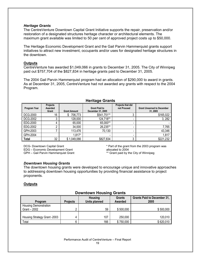#### *Heritage Grants*

The CentreVenture Downtown Capital Grant Initiative supports the repair, preservation and/or restoration of a designated structures heritage character or architectural elements. The maximum grant available was limited to 50 per cent of approved project costs up to \$50,000.

The Heritage Economic Development Grant and the Gail Parvin Hammerquist grants support initiatives to attract new investment, occupants and/or uses for designated heritage structures in the downtown.

#### **Outputs**

CentreVenture has awarded \$1,049,066 in grants to December 31, 2005. The City of Winnipeg paid out \$757,704 of the \$827,834 in heritage grants paid to December 31, 2005.

The 2004 Gail Parvin Hammerquist program had an allocation of \$290,000 to award in grants. As at December 31, 2005, CentreVenture had not awarded any grants with respect to the 2004 Program.

| Program Year | Projects<br>Awarded<br>Grant | <b>Grant Amount</b> | <b>Grant Paid to</b><br>December 31, 2005 | Projects that did<br>not Proceed | <b>Grant Unearned to December</b><br>31, 2005 |
|--------------|------------------------------|---------------------|-------------------------------------------|----------------------------------|-----------------------------------------------|
| DCG-2000     | 16                           | 706,773<br>S        | \$541,751**                               |                                  | \$165,022                                     |
| DCG-2002     | ົ                            | 128,000             | 124,718**                                 |                                  | 3, 282                                        |
| EDG-2000     |                              | 65,000              | 65,000**                                  | -                                |                                               |
| EDG-2002     | ∩                            | 34,000              | 26,235**                                  |                                  | 7,765                                         |
| GPH-2003     |                              | 113,476             | 70,130                                    |                                  | 43,346                                        |
| GPH-2004     |                              | $1,817*$            |                                           |                                  | 1,817                                         |
| <b>Total</b> | 32                           | 1,049,066           | \$827,834                                 | ົ                                | \$221,232                                     |

#### **Heritage Grants**

DCG- Downtown Capital Grant EDG – Economic Development Grant GPH – Gail Parvin Hammerquist Grant \* Part of the grant from the 2003 program was allocated to 2004

\*\* Grant paid by the City of Winnipeg

#### *Downtown Housing Grants*

The downtown housing grants were developed to encourage unique and innovative approaches to addressing downtown housing opportunities by providing financial assistance to project proponents.

#### **Outputs**

|                              |                 | <b>Housing</b> | <b>Grants</b> | <b>Grants Paid to December 31,</b> |
|------------------------------|-----------------|----------------|---------------|------------------------------------|
| <b>Program</b>               | <b>Projects</b> | Units planned  | Awarded       | 2005                               |
| <b>Housing Demonstration</b> |                 |                |               |                                    |
| Grant - 2002                 |                 | 59             | \$500,000     | \$500,000                          |
|                              |                 |                |               |                                    |
| Housing Strategy Grant -2003 |                 | 107            | 250,000       | 120,010                            |
| Total                        |                 | 166            | \$750,000     | \$620,010                          |

#### **Downtown Housing Grants**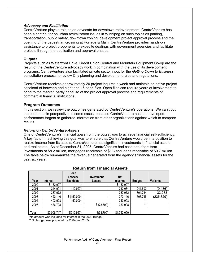#### *Advocacy and Facilitation*

CentreVenture plays a role as an advocate for downtown redevelopment. CentreVenture has been a contributor on urban revitalization issues in Winnipeg on such topics as parking, transportation, public safety, downtown zoning, development project approval process and the opening of the pedestrian crossing at Portage & Main. CentreVenture provides hands-on assistance to project proponents to expedite dealings with government agencies and facilitate projects through the application and approval phases.

#### **Outputs**

Projects such as Waterfront Drive, Credit Union Central and Mountain Equipment Co-op are the result of the CentreVenture advocacy work in combination with the use of its development programs. CentreVenture also facilitated private sector input for the *Getting Down to Business* consultation process to review City planning and development rules and regulations.

CentreVenture receives approximately 20 project inquires a week and maintain an active project caseload of between and eight and 15 open files. Open files can require years of involvement to bring to the market, partly because of the project approval process and requirements of commercial financial institutions.

#### **Program Outcomes**

In this section, we review the outcomes generated by CentreVenture's operations. We can't put the outcomes in perspective, in some cases, because CentreVenture has not developed performance targets or gathered information from other organizations against which to compare results.

#### *Return on CentreVenture Assets*

One of CentreVenture's financial goals from the outset was to achieve financial self-sufficiency. A key factor in achieving this goal was to ensure that CentreVenture would be in a position to realize income from its assets. CentreVenture has significant investments in financial assets and real estate. As at December 31, 2005, CentreVenture had cash and short-term investments of \$8.2 million, mortgages receivable of \$1.3 and loans receivable of \$0.7 million. The table below summarizes the revenue generated from the agency's financial assets for the past six years:

| Year         | <b>Interest</b> | Loan<br>Losses/<br><b>Bad debts</b> | <b>Investment</b><br><b>Losses</b> | <b>Net</b><br>revenue | <b>Budget</b> | Variance   |  |
|--------------|-----------------|-------------------------------------|------------------------------------|-----------------------|---------------|------------|--|
| 2000         | \$162,997       | $\overline{\phantom{0}}$            | ۰                                  | \$162,997             | *             |            |  |
| 2001         | 244,991         | (12, 927)                           | $\overline{\phantom{0}}$           | 232,064               | 241,500       | (9, 436)   |  |
| 2002         | 337,972         | $\overline{\phantom{0}}$            | ٠                                  | 337,972               | 304,734       | 33,238     |  |
| 2003         | 422,146         | (150,000)<br>\$(                    | ۰                                  | 272,146               | 507,745       | (235, 329) |  |
| 2004         | 403,903         | (50,000)                            | ٠                                  | 353,903               | $***$         |            |  |
| 2005         | 436,708         | $\overline{\phantom{0}}$            | \$ (73,700)                        | 363,008               | $**$          |            |  |
| <b>Total</b> | \$2,008,717     | \$(212,927)                         | \$(73,700)                         | \$1,722,090           |               |            |  |

#### **Return from Financial Assets**

\*No amount was included for interest in the 2000 Budget.

 **\*\*** No budget was prepared for 2004 and 2005.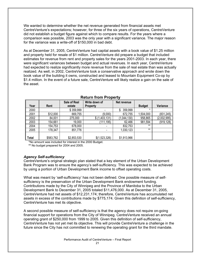We wanted to determine whether the net revenue generated from financial assets met CentreVenture's expectations; however, for three of the six years of operations, CentreVenture did not establish a budget figure against which to compare results. For the years where a comparison was possible, 2003 was the only year with a significant variance. The major reason for the variance was a write-off of \$150,000 in bad debt.

As at December 31, 2005, CentreVenture had capital assets with a book value of \$1.25 million and property held for resale of \$1 million. CentreVenture did prepare a budget that included estimates for revenue from rent and property sales for the years 2001-2003. In each year, there were significant variances between budget and actual revenues. In each year, CentreVenture had expected to realize significantly more revenue from the sale of real estate than was actually realized. As well, in 2002, CentreVenture took a conservative approach and wrote down the book value of the building it owns, constructed and leased to Mountain Equipment Co-op by \$1.4 million. In the event of a future sale, CentreVenture will likely realize a gain on the sale of the asset.

|       |           | <b>Sale of Real</b> | Write down of            | Net revenue   |               |             |
|-------|-----------|---------------------|--------------------------|---------------|---------------|-------------|
| Year  | Rent      | estate              | <b>Property</b>          |               | <b>Budget</b> | Variance    |
| 2000  |           | \$359,999           | $\overline{\phantom{a}}$ | 359,999<br>\$ | $\star$       |             |
| 2001  | \$12,000  | 669,755             | (9,000)                  | 672,755       | 1,504,000     | (831, 245)  |
| 2002  | 84,001    | 275,000             | \$(1,403,131)            | (1,044,130)   | 958,865       | (2,002,995) |
| 2003  | 154,661   | 19,000              | (111, 195)               | 62,466        | 981,594       | (919, 128)  |
| 2004  | 154,753   | 678,000             |                          | 832,753       | $**$          |             |
| 2005  | 178,347   | 851,776             | $\overline{\phantom{a}}$ | 1,030,123     | $**$          |             |
|       |           |                     |                          |               |               |             |
| Total | \$583,762 | \$2,853,530         | \$(1,523,326)            | \$1,913,966   |               |             |

#### **Return from Property**

\*No amount was included for interest in the 2000 Budget.

 **\*\*** No budget prepared for 2004 and 2005.

#### *Agency Self-sufficiency*

CentreVenture's original strategic plan stated that a key element of the Urban Development Bank Program was to ensure the agency's self-sufficiency. This was expected to be achieved by using a portion of Urban Development Bank income to offset operating costs.

What was meant by 'self-sufficiency' has not been defined. One possible measure of selfsufficiency is the preservation of the Urban Development Bank endowment funding. Contributions made by the City of Winnipeg and the Province of Manitoba to the Urban Development Bank to December 31, 2005 totaled \$11,476,000. As at December 31, 2005, CentreVenture had net assets of \$12,231,174; therefore, CentreVenture has accumulated net assets in excess of the contributions made by \$775,174. Given this definition of self-sufficiency, CentreVenture has met its objective.

A second possible measure of self-sufficiency is that the agency does not require on-going financial support for operations from the City of Winnipeg. CentreVenture received an annual operating grant of \$250,000 from 1999 to 2005. Given this definition of self-sufficiency, CentreVenture has not yet met its objective. This will provide CentreVenture a challenge in the future since the City has not committed to renewing the operating grant for the third mandate.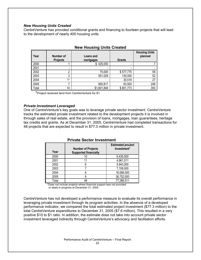#### *New Housing Units Created*

CentreVenture has provided conditional grants and financing to fourteen projects that will lead to the development of nearly 400 housing units.

| Year       | Number of                | Loans and                |                              | <b>Housing Units</b><br>planned |
|------------|--------------------------|--------------------------|------------------------------|---------------------------------|
|            | <b>Projects</b>          | mortgages                | <b>Grants</b>                |                                 |
| 2000<br>II |                          | 425,000<br>S             | -                            |                                 |
| 2001       | $\overline{\phantom{0}}$ | $\overline{\phantom{0}}$ | $\qquad \qquad \blacksquare$ |                                 |
| 2002       | ŋ                        | 75,000                   | \$577,775                    | 59                              |
| 2003       | 3                        | 501,029                  | 130,000                      | 52                              |
| 2004       | 4*                       |                          | 30,518                       | 27                              |
| 2005       |                          | 600,817                  | 63,500                       | 248                             |
| Total      | 14                       | \$1,601,846              | \$801,773                    | 393                             |

#### **New Housing Units Created**

\*Project received land from CentreVenture for \$1.

#### *Private Investment Leveraged*

One of CentreVenture's key goals was to leverage private sector investment. CentreVenture tracks the estimated private investment related to the development projects it is involved in through sales of real estate, and the provision of loans, mortgages, loan guarantees, heritage tax credits and grants. As at December 31, 2005, CentreVenture had completed transactions for 48 projects that are expected to result in \$77.3 million in private investment.

| Year  | <b>Number of Projects</b><br><b>Supported financially</b> | <b>Estimated proJect</b><br>Investment* |
|-------|-----------------------------------------------------------|-----------------------------------------|
| 2000  | 10                                                        | 6,435,000                               |
| 2001  | 11                                                        | 4,961,011                               |
| 2002  | 6                                                         | 5,943,000                               |
| 2003  |                                                           | 7,109,500                               |
| 2004  |                                                           | 16,086,000                              |
| 2005  |                                                           | 36,752,000                              |
| Total | 48                                                        | 77,286,511                              |

#### **Private Sector Investment**

\*Does not include projects where financial support was not provided or deals in progress at December 31, 2005.

CentreVenture has not developed a performance measure to evaluate its overall performance in leveraging private investment through its program activities. In the absence of a developed performance indicator, we compared the total estimated project investment (\$77.3 million) to the total CentreVenture expenditures to December 31, 2005 (\$7.6 million). This resulted in a very positive \$10 to \$1 ratio. In addition, the estimate does not take into account private sector investment leveraged indirectly through CentreVenture's advocacy and facilitation efforts.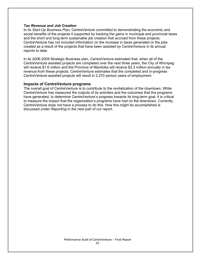#### *Tax Revenue and Job Creation*

In its *Start-Up Business Plan*, CentreVenture committed to demonstrating the economic and social benefits of the projects it supported by tracking the gains in municipal and provincial taxes and the short and long-term sustainable job creation that accrued from these projects. CentreVenture has not included information on the increase in taxes generated or the jobs created as a result of the projects that have been assisted by CentreVenture in its annual reports to date.

In its 2006-2009 Strategic Business plan, CentreVenture estimated that, when all of the CentreVenture assisted projects are completed over the next three years, the City of Winnipeg will receive \$1.6 million and the Province of Manitoba will receive \$2.3 million annually in tax revenue from these projects. CentreVenture estimates that the completed and in-progress CentreVenture assisted projects will result in 2,270 person years of employment.

#### **Impacts of CentreVenture programs**

The overall goal of CentreVenture is to contribute to the revitalization of the downtown. While CentreVenture has measured the outputs of its activities and the outcomes that the programs have generated, to determine CentreVenture's progress towards its long-term goal, it is critical to measure the impact that the organization's programs have had on the downtown. Currently, CentreVenture does not have a process to do this. How this might be accomplished is discussed under *Reporting* in the next part of our report.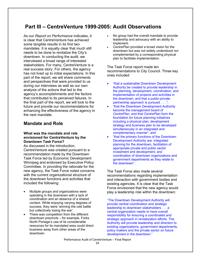# **Part III – CentreVenture 1999-2005: Audit Observations**

As our *Report on Performance* indicates, it is clear that CentreVenture has achieved some tangible results in its first two mandates. It is equally clear that much still needs to be done to revitalize the City's downtown. In conducting the audit, we interviewed a broad range of interested stakeholders. For many, CentreVenture is a real success story. For others, the agency has not lived up to initial expectations. In this part of the report, we will share comments and perspectives that were provided to us during our interviews as well as our own analysis of the actions that led to the agency's accomplishments and the factors that contributed to its perceived failures. In the final part of the report, we will look to the future and provide our recommendations for enhancing the effectiveness of the agency in the next mandate.

### **Mandate and Role**

#### **What was the mandate and role envisioned for CentreVenture by the Downtown Task Force?**

As discussed in the introduction, CentreVenture was created pursuant to a recommendation made by the Downtown Task Force led by Economic Development Winnipeg and endorsed by Executive Policy Committee. In providing the rationale for the new agency, the Task Force noted concerns with the current organizational structure of the downtown functions and activities that included the following:

- Multiple groups and organizations were operating in the downtown with a lack of coordination and an absence of a shared context. While enjoying varying degrees of success, they were 'winning the odd battle but collectively losing the war'.
- There was competition from the different downtown precincts – for example, Forks North Portage's use of its considerable resources for its mandated area could direct business away from other areas of the downtown.
- No group had the overall mandate to provide leadership and advocacy with an ability to implement.
- *CentrePlan* provided a broad vision for the downtown but was not widely understood nor complemented by a corresponding physical plan to facilitate implementation.

The Task Force report made ten recommendations to City Council. Three key ones included

- "that a sustainable Downtown Development Authority be created to provide leadership in the planning, development, coordination, and implementation of projects and activities in the downtown; and that a public-private partnership approach is pursued . . . ";
- "that the Downtown Development Authority become the management board of *CentrePlan*, and that *CentrePlan* form the foundation for future planning initiatives including a physical plan, development strategy and business plan to be developed simultaneously in an integrated and complementary manner"; and
- "that the primary functions of the Downtown Development Authority are: integrated planning for the downtown, facilitation of appropriate private and public sector investment and development, and coordination of downtown organizations and government departments as they relate to the downtown".

The Task Force also made several recommendations regarding implementation and interaction with government bodies and existing agencies. It is clear that the Task Force envisioned that the new agency would play a leadership role within the downtown:

"The Downtown Development Authority will provide central coordination and strategic leadership to downtown stakeholders . . . a central organization needs to have overall responsibility for ensuring a coordinated and strategic approach in revitalization efforts. The Authority will provide leadership and direction to existing organizations, government departments, policy makers and the private sector on future development in the downtown."

Performance Audit of CentreVenture – Final Report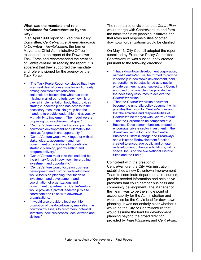#### **What was the mandate and role envisioned for CentreVenture by the City?**

In an April 1999 report to Executive Policy Committee, *CentreVenture: A new Approach to Downtown Revitalization*, the former Mayor and Chief Administrative Officer responded to the report of the Downtown Task Force and recommended the creation of CentreVenture. In reading the report, it is apparent that they supported the mandate and role envisioned for the agency by the Task Force:

- "The Task Force Report concluded that there is a great deal of consensus for an Authority among downtown stakeholders – stakeholders believe that what has been missing in all of our efforts downtown is an over all implementation body that provides strategic leadership and has access to the necessary resources. No group had the mandate to provide leadership and advocacy with ability to implement. The model we are proposing today achieves that goal."
- "CentreVenture would be the focal point for downtown development and ultimately the catalyst for growth and opportunity."
- "CentreVenture would work together with all stakeholders, government and nongovernment organizations to coordinate strategic planning, priority setting and program delivery."
- "CentreVenture must take the lead and be the primary force in downtown for creating investment and opportunity."
- "CentreVenture would focus on business development and historic re-development. It would focus on planning, facilitation of investment and development, and coordination of organizations and government departments…CentreVenture would provide a pivotal leadership role to coordinate and liaise with downtown organizations."
- "It would also provide a focal point for promotion of the downtown by marketing the downtown's assets to customers, potential investors, new businesses, local citizens and visitors."

The report also envisioned that *CentrePlan*  would merge with CentreVenture and form the basis for future planning initiatives and that roles and responsibilities of other downtown organizations would be clarified.

On May 13, City Council adopted the report submitted by Executive Policy Committee. CentreVenture was subsequently created pursuant to the following direction:

- "That a downtown development corporation, named CentreVenture, be formed to provide leadership in downtown development, said corporation to be established as a publicprivate partnership and, subject to a Council approved business plan, be provided with the necessary resources to achieve the *CentrePlan* vision."
- "That the *CentrePlan* vision document become the umbrella policy document which provides the vision for CentreVenture and that the activities and responsibilities of *CentrePlan* be merged with CentreVenture."
- "That the Corporation be comprised of a Business Development function, created to encourage private sector investment in the downtown, with a focus on the Central Business District (Portage and Broadway) and a Historic Redevelopment function, created to encourage public and private redevelopment of heritage buildings, with a special focus on the two National Historic Sites and the Forks."

Coincident with the creation of CentreVenture, the City Administration established a new Downtown Improvement Team to coordinate departmental resources, provide needed information and help solve problems that could hamper business and community development. The Manager of the Team was to be the single point of accountability for the Administration and would also be the City's lead for downtown planning. It was not entirely clear whether it would be the City or CentreVenture that would assume the lead for development planning beyond the broad direction provided by *Plan Winnipeg* and *CentrePlan*.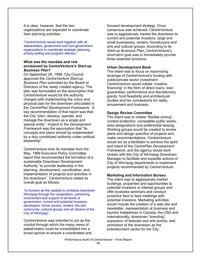It is clear, however, that the two organizations are expected to coordinate their planning activities:

"CentreVenture would work together with all stakeholders, government and non-government organizations to coordinate strategic planning, priority setting and program delivery."

#### **What was the mandate and role envisioned by CentreVenture's** *Start-up Business Plan***?**

On September 29, 1999, City Council approved the *CentreVenture Start-up Business Plan* submitted by the Board of Directors of the newly created agency. The plan was formulated on the assumption that CentreVenture would be the authority charged with implementing the vision and physical plan for the downtown articulated in the *CentrePlan Development Framework.* A key recommendation of that report was that the City "plan, develop, operate, and manage the downtown as a single and special entity". Implicit in the *Development Framework* was the assumption that "its concepts and plans should be implemented by a duly constituted authority under political leadership".

CentreVenture took its mandate from the May, 1999 Executive Policy Committee report that recommended the formation of a sustainable Downtown Development Authority "to provide leadership in the planning, development, coordination, and implementation of projects and activities in the downtown". CentreVenture stated its overall goal as follows:

"to function as the catalyst to revitalize downtown Winnipeg through the cooperation, partnering, involvement and support of all levels of government, current and potential investors, developers, home owners, renters, the arts community, cultural groups and all citizens of the City of Winnipeg".

CentreVenture was intended to act as the conduit through which the many views of stakeholders could be consolidated into a broad opinion to ensure a coordinated and

focused development strategy. Once consensus was achieved, CentreVenture was to aggressively market the downtown to current and potential investors, large and small businesses, renters, homebuyers and arts and cultural groups. According to its *Start-up Business Plan*, CentreVenture's short-term goal was to immediately provide three essential functions:

#### **Urban Development Bank**

The intent was to focus on maximizing leverage of CentreVenture's funding with public/private sector investment. CentreVenture would initiate "creative financing" in the form of direct loans, loan guarantees, performance and discretionary grants, fund feasibility and architectural studies and tax concessions for realty, amusement and business.

#### **Design Review Committee**

The intent was to initiate "flexible zoning", context protection, compatible public works, area designations and preferential leasing. Working groups would be created to review plans and design specifics of projects and make recommendations. CentreVenture would act as a facilitator to achieve the spirit and intent of the *CentrePlan Development Framework,* and the agency would work closely with the City of Winnipeg Downtown Manager to facilitate and expedite actions of City of Winnipeg departments to implement projects recommended by CentreVenture.

#### **Marketing and Information Bureau**

The intent was to aggressively market buildings, properties and opportunities to potential investors or interest groups and offer business seminars and conduct proactive face to face meetings with potential investors. Marketing activities would include the creation of a web site and newsletter, representation at business and tourism tradeshows in Canada, the USA and internationally, downtown "branding", expansion of festivals and arts events, and promotion of the downtown as the entertainment centre for the City.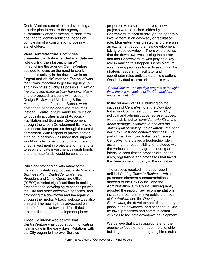CentreVenture committed to developing a broader plan to ensure the agency's sustainability after achieving its short-term goal and to identify additional needs on completion of a consultation process with stakeholders.

**Were CentreVenture's activities consistent with its intended mandate and role during the start-up phase?**  In launching the agency, CentreVenture decided to focus on the need to spark economic activity in the downtown in an "urgent and visible" manner. The belief was that it was important to get the agency up and running as quickly as possible: "*Turn on the lights and make activity happen."* Many of the proposed functions with respect to Design Review and Marketing & the Marketing and Information Bureau were postponed pending adequate resources. Instead, CentreVenture made the decision to focus its activities around Advocacy, Facilitation and Business Development through the Urban Development Bank and sale of surplus properties through the asset agreement. With respect to private sector funding, a decision was made that support would initially come in the form of time and direct investment in projects and that efforts to secure private investment through bonds and alternate funds would be considered later.

While not proceeding with many of the marketing initiatives proposed in its *Start-up Business Plan,* CentreVenture's new President and Chief Operating Officer ("CEO") devoted significant time to making presentations, developing relationships with the City and other downtown agencies, and promoting the downtown and the agency through the media. A basic website was also created. The new agency advocated on behalf of the downtown and facilitated projects through the development phase.

Those we interviewed believe that CentreVenture was good at communicating its mandate in the early days. Relations with the City began to improve. Surplus

properties were sold and several new projects were launched, either by CentreVenture itself or through the agency's involvement in an advocacy or facilitation role. Momentum was created, and there was an excitement about the new development taking place downtown. There was a sense that the downtown was turning the corner and that CentreVenture was playing a key role in making this happen. CentreVenture was making progress towards assuming the strategic leadership, facilitator and coordinator roles anticipated at its creation. One individual characterized it this way:

#### *"CentreVenture was the right program at the right time; there is no doubt that the City would be poorer without it."*

In the summer of 2001, building on the success of CentreVenture, the Downtown Initiatives Committee, comprised of City political and administrative representatives, was established to *"consider, prioritize, and direct strategic initiatives to achieve the stated goal of making the downtown the best place to invest and conduct business"*. As part of the Downtown Initiatives Strategy, CentreVenture played a leadership role in assuming the responsibility for dialogue with the various community groups during an intensive consultation process around the rules, regulations and processes that faced the development industry in the downtown.

The process resulted in a 2002 report entitled *Getting Down to Business,* which presented nineteen recommendations directed to the City Council and the Administration. City Council subsequently adopted the report. Key recommendations included a comprehensive public promotion of *CentrePlan* and the *Development Framework*, the development of secondary plans in the downtown, and changes to City by-laws, processes and communication vehicles to facilitate downtown development.

We believe that it was appropriate for the agency to focus on promotion, relationship building and demonstrating tangible results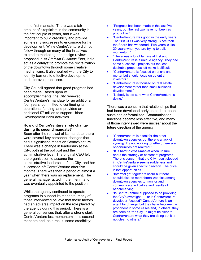in the first mandate. There was a fair amount of skepticism in the community in the first couple of years, and it was important to build credibility and provide some early successes to encourage further development. While CentreVenture did not follow through on many of the initiatives related to marketing and design review proposed in its *Start-up Business Plan*, it did act as a catalyst to promote the revitalization of the downtown through some creative mechanisms. It also worked with the City to identify barriers to effective development and approval processes.

City Council agreed that good progress had been made. Based upon its accomplishments, the City renewed CentreVenture's mandate for an additional four years, committed to continuing its operational funding, and provided an additional \$7 million to support Urban Development Bank activities.

#### **How did CentreVenture's role change during its second mandate?**

Soon after the renewal of its mandate, there were several key personnel changes that had a significant impact on CentreVenture. There was a change in leadership at the City, both at the political and the administrative level. The original CEO left the organization to assume the administrative leadership of the City, and her successor left CentreVenture after five months. There was then a period of almost a year when there was no replacement. The general manager acted in the interim and was eventually appointed to the position.

While the agency continued to operate programs to support its mandate, many of those interviewed believe that these factors had an adverse impact on the role played by the agency during this period. There is a general consensus that, after a strong start, CentreVenture lost momentum in its second mandate and, as a result, some credibility:

- "Progress has been made in the last five years, but the last two have not been as productive."
- "CentreVenture was good in the early years. The first CEO was very strong. Since then the Board has wandered. Two years is like 20 years when you are trying to build momentum."
- "There was a lot of fanfare at first and CentreVenture is a unique agency. They had some successful projects but the less desirable properties left make it difficult.
- "CentreVenture is focused on bricks and mortar but should focus on potential investors."
- "CentreVenture is focused on real estate development rather than small business development."
- "Nobody is too sure what CentreVenture is doing."

There was a concern that relationships that had been developed early on had not been sustained or formalized. Communication functions became less effective, and many of those interviewed were unclear about the future direction of the agency:

- "CentreVenture is a tool for the other downtown agencies but there is a lack of synergy. By not working together, there are opportunities not realized."
- "It is hard to cross-market when unsure about the strategy or content of programs. There is concern that the City hasn't stepped in. CentreVenture seems rudderless and should be given specific direction. The price is lost opportunities."
- "Informal get-togethers occur but there should also be more formalized ties among downtown agencies to monitor and communicate indicators and results of benchmarking."
- "Is CentreVenture supposed to be providing the City's oversight . . . or is CentreVenture developer-focused? CentreVenture is an agent for change, but they have become the proponent in some cases and, in others, they are seen as 'the City'. It might be clear to CentreVenture what they are doing but it is not clear to others."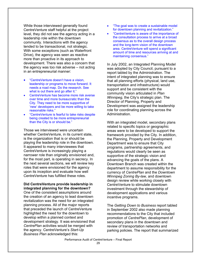While those interviewed generally found CentreVenture staff helpful at the project level, they did not see the agency acting in a leadership role within the downtown community. Interactions with the agency tended to be transactional, not strategic. With some exceptions (such as Waterfront Drive), the agency was seen as reactive more than proactive in its approach to development. There was also a concern that the agency was too risk adverse – not acting in an entrepreneurial manner:

- "CentreVenture doesn't have a vision, leadership or programs to move forward. It needs a road map. Do the research. See what is out there and go after it."
- CentreVenture has become more risk averse over time and more bureaucratic than the City. They need to be more supportive of 'new' developers and be more willing to take reasonable risks."
- "CentreVenture is fearful to take risks despite being created to be more entrepreneurial than the City is or should be."

Those we interviewed were uncertain whether CentreVenture, in its current state, is the organization that is or should be playing the leadership role in the downtown. It appeared to many interviewees that CentreVenture is increasingly playing a narrower role than originally envisioned and, for the most part, is operating in secrecy. In the next several sections, we will review key roles that were envisioned for the agency upon its inception and evaluate how well CentreVenture has fulfilled these roles.

#### **Did CentreVenture provide leadership in integrated planning for the downtown?**

One of the consistent assumptions around the creation of an agency to lead downtown revitalization was the need for an integrated planning process. All of the major reports that preceded the launch of CentreVenture highlighted the need for the downtown to develop within a planned context and development strategy. It was envisioned that *CentrePlan* activities would be merged with the agency. CentreVenture's *Start-Up Business Plan* acknowledged this:

- "The goal was to create a sustainable model for downtown planning and revitalization."
- "CentreVenture is aware of the importance of the consultation process to arrive at a broad consensus as to the overall design process and the long-term vision of the downtown area. CentreVenture will spend a significant amount of time and resources arriving at and maintaining consensus."

In July 2002, an Integrated Planning Model was adopted by City Council, pursuant to a report tabled by the Administration. The intent of integrated planning was to ensure that all planning efforts (physical, land use, transportation and infrastructure) would support and be consistent with the community vision articulated in *Plan Winnipeg*, the City's strategic plan. The Director of Planning, Property and Development was assigned the leadership role for coordinating planning across the Administration.

With an integrated model, secondary plans related to specific topics or geographic areas were to be developed to support the framework provided by the City. In addition, the Planning, Property and Development Department was to ensure that City programs, partnership agreements, and regulations would clearly be seen as supportive of the strategic vision and advancing the goals of the plans. A Downtown Branch was created within the department to assume responsibility for the currency of *CentrePlan* and the *Downtown Winnipeg Zoning By-law,* and downtown design review while working closely with CentreVenture to stimulate downtown investment through the stewardship of development applications and various incentive programs.

The *Getting Down to Business* report tabled in September 2002 also made planning recommendations to the City that included promotion of *CentrePlan*, development of secondary plans in the downtown and review of transportation networks and parking policies. The report that summarized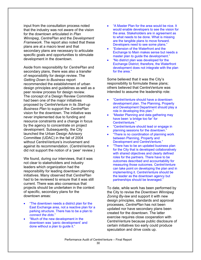input from the consultation process noted that the industry was not aware of the vision for the downtown articulated in *Plan Winnipeg*, *CentrePlan* and the *Development Framework*. The report also noted that these plans are at a macro level and that secondary plans are necessary to articulate specific goals and opportunities to stimulate development in the downtown.

Aside from responsibility for *CentrePlan* and secondary plans, there was also a transfer of responsibility for design review. The *Getting Down to Business* report recommended the establishment of urban design principles and guidelines as well as a peer review process for design review. The concept of a Design Review Committee had been one of the major initiatives proposed by CentreVenture in its *Start-up Business Plan* to support the *CentrePlan*  vision for the downtown. The initiative was never implemented due to funding and resource constraints and a change in focus by the agency to concentrate on project development. Subsequently, the City launched the Urban Design Advisory Committee (UDAC) in the fall of 2004 without CentreVenture's involvement and against its recommendation. (CentreVenture did not support the notion of a 'peer' review.)

We found, during our interviews, that it was not clear to stakeholders and industry leaders which organization had the responsibility for leading downtown planning initiatives. Many observed that *CentrePlan*  had to be reviewed to ensure that it was still current. There was also consensus that projects should be undertaken in the context of specific, secondary plans for the downtown areas:

- "The downtown needs a district plan for the East Exchange area, not a reactive plan for a parking structure. There has to be a plan to *connect the dots*."
- "Much of the new development in the downtown was 'panic development' and done without a plan to guide it."
- "A Master Plan for the area would be nice. It would enable developers to see the vision for the area. Stakeholders are in agreement as to what needs to be done. What is missing are the tangible plans to move forward. Developers need to see some plans."
- "Extension of the Waterfront and the Exchange to Main makes sense but needs a master plan to guide the development."
- "No district plan was developed for the Exchange District; therefore, the Waterfront development does not integrate with the plan for the area."

Some believed that it was the City's responsibility to formulate these plans; others believed that CentreVenture was intended to assume the leadership role:

- "CentreVenture should have a downtown development plan. The Planning, Property and Development Department should play a role in developing this plan."
- "Master Planning and data gathering may have been 'a bridge too far' for CentreVenture."
- "CentreVenture should lead or engage in planning sessions for the downtown."
- "There is no coordination of planning work between Planning, Property and Development and CentreVenture."
- "There has to be an updated business plan for the City that is developed collaboratively with shared objectives and clearly defined roles for the partners. There have to be outcomes described and accountability for measuring those outcomes. CentreVenture can take point on developing the plan and in implementing it. CentreVenture should be the leader as the downtown agency but partnerships should be leveraged."

To date, while work has been performed by the City to revise the *Downtown Winnipeg Zoning By-law* and support it with new design principles, standards and approval processes, *CentrePlan* has not been updated nor have secondary plans been created for the downtown. The latter exercise requires close cooperation with CentreVenture because public disclosure of certain initiatives too early could produce speculation and drive costs up.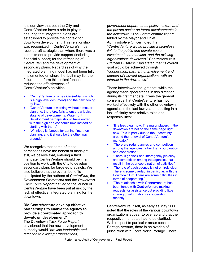It is our view that both the City and CentreVenture have a role to play in ensuring that integrated plans are established to provide the context for downtown development. This relationship was recognized in CentreVenture's most recent draft strategic plan where there was a commitment to provide support (including financial support) for the refreshing of *CentrePlan* and the development of secondary plans. Regardless of why the integrated planning model has not been fully implemented or where the fault may lie, the failure to perform this critical function reduces the effectiveness of CentreVenture's activities:

- "CentreVenture only has *CentrePlan* (which is a high level document) and the new zoning by-law."
- "CentreVenture is working without a master plan and, therefore, fails to ensure a logical staging of developments. Waterfront Development perhaps should have ended with the high end condominiums instead of starting with them."
- "Winnipeg is famous for zoning first, then planning, and it should be the other way around."

We recognize that some of these perceptions have the benefit of hindsight; still, we believe that, entering a third mandate, CentreVenture should be in a position to work with the City to develop secondary plans for targeted precincts. We also believe that the overall benefits anticipated by the authors of *CentrePlan*, the *Development Framework* and the *Downtown Task Force Report* that led to the launch of CentreVenture have been put at risk by the lack of effective, integrated planning for the downtown.

#### **Did CentreVenture develop effective partnerships to enable the agency to provide a coordinated approach to downtown development?**

The Downtown Task Force *Report* envisioned that the new development authority would *"provide leadership and direction to existing organizations,* 

*government departments, policy makers and the private sector on future developments in the downtown."* The CentreVenture report tabled by the Mayor and Chief Administrative Officer noted that *"CentreVenture would provide a seamless link to the public and private sector, investment communities, and the existing organizations downtown."* CentreVenture's *Start-up Business Plan* stated that its overall goal would be achieved through *"cooperation, partnering, involvement and support of relevant organizations with an interest in the downtown.*"

Those interviewed thought that, while the agency made good strides in this direction during its first mandate, it was the general consensus that CentreVenture has not worked effectively with the other downtown agencies in the last few years, resulting in a lack of clarity over relative roles and responsibilities:

- "It is less clear now. The major players in the downtown are not on the same page right now. This is partly due to the uncertainty around the renewal of CentreVenture's mandate."
- "There are redundancies and competition among the agencies rather than coordination and cooperation."
- "There is gridlock and interagency jealousy and competition among the agencies that result in the poor coordination of activities."
- "The role of each agency is not entirely clear. There is some overlap, in particular, with the Downtown Biz. There are some difficulties in terms of cooperating."
- "The relationship with CentreVenture has been tense with CentreVenture making requests for assistance but providing little sharing of information or cooperation recently."

CentreVenture, itself, as early as May 2000, noted that the roles of the various downtown organizations appear to overlap and that the respective mandates had to be clarified. With respect to particular areas such as Portage Avenue, there is an overlap of jurisdiction with Forks North Portage. There

Performance Audit of CentreVenture – Final Report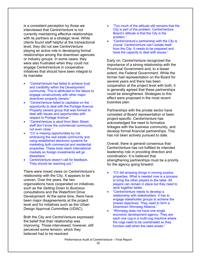is a consistent perception by those we interviewed that CentreVenture is not currently maintaining effective relationships with its partners at a strategic level. While clients found staff helpful at the transactional level, they did not see CentreVenture playing an active role in developing formal relationships among the downtown agencies or industry groups. In some cases, they were also frustrated when they could not engage CentreVenture in cooperative initiatives that should have been integral to its mandate.

- "CentreVenture has failed to achieve trust and credibility within the Development community. This is attributed to the failure to engage constructively with other major downtown property owners."
- "CentreVenture failed to capitalize on the opportunity to deal with the Portage Avenue Property owners group that was formed to deal with issues and opportunities with respect to Portage Avenue."
- "CentreVenture is aloof from Main Street; staff don't know the commercial community, not even close."
- "CV is missing opportunities by not embracing the real estate community and using established electronic systems for marketing both commercial and residential properties. These tools reach international markets so foreign investments will go elsewhere."
- CentreVenture doesn't call for feedback. They should be reaching out."

There were mixed views on CentreVenture's relationship with the City. It appears to be uneven. Over the years, the two organizations have cooperated on initiatives such as the *Getting Down to Business* consultations and the Waterfront Drive Development. At the same time, there have been major disagreements at the project level and for initiatives such as the Urban Design Approval Committee (UDAC).

Both the City and CentreVenture expressed the belief that their relationship was improving. Those interviewed, however, still perceived some tension, which they believed had to be resolved:

- "Too much of the attitude still remains that the City is part of the problem. CentreVenture Board's attitude is that the City is the problem."
- "CentreVenture's partnership with the City is crucial. CentreVenture can't isolate itself from the City. It needs to be prepared and have the capacity to deal with issues."

Early on, CentreVenture recognized the importance of a strong relationship with the Provincial Government and, to a lesser extent, the Federal Government. While the former had representation on the Board for several years and there has been cooperation at the project level with both, it is generally agreed that these partnerships could be strengthened. Strategies to this effect were proposed in the most recent business plan.

Partnerships with the private sector have consisted of Board representation or been project-specific. CentreVenture has acknowledged the need to formalize linkages with the business community, and develop formal financial partnerships. This has not been actively pursued to date.

Overall, there is general consensus that CentreVenture has not fulfilled its intended leadership role in providing direction and coordination. It is believed that strengthening partnerships must be a priority for the agency going forward:

- "CV did amazing things in moving surplus properties. What is needed now is a process to bring the other players to the table. All players can remain in place but they need to work together better.
- "CentreVenture needs to develop a relationship with stakeholders. It has to engage stakeholder groups to achieve the shared objectives. They need to form a Downtown Winnipeg Alliance."
- "Winnipeg does not have one single economic development agency. They are each one cog in a multi-cog machine where the cogs need to be coordinated so they function well when the need arises."

Performance Audit of CentreVenture – Final Report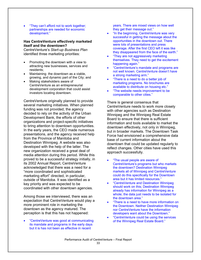• "They can't afford not to work together; partnerships are needed for economic development."

#### **Has CentreVenture effectively marketed itself and the downtown?**

CentreVenture's *Start-up Business Plan* identified three marketing priorities:

- Promoting the downtown with a view to attracting new businesses, services and residents;
- Maintaining the downtown as a viable, growing, and dynamic part of the City; and
- Making stakeholders aware of CentreVenture as an entrepreneurial development corporation that could assist investors locating downtown.

CentreVenture originally planned to provide several marketing initiatives. When planned funding was not provided, the agency decided to rely on the activity of the Urban Development Bank, the efforts of other organizations and project-specific initiatives to bring attention to downtown opportunities. In the early years, the CEO made numerous presentations, and the agency received help from the Province of Manitoba and Destination Winnipeg. A website was also developed with the help of the latter. The new organization received a great deal of media attention during this period. While this proved to be a successful strategy initially, in its 2002 Annual Report, CentreVenture acknowledged that there was a need for a "more coordinated and sophisticated marketing effort" directed, in particular, outside of Manitoba. It was identified as a key priority and was expected to be coordinated with other downtown agencies.

Among those we interviewed, there was an expectation that CentreVenture would play a more prominent role in marketing the downtown as the agency matured. The perception is that this has not happened:

• "CentreVenture was good at communicating its mandate and programs in the early days but it is has not been as effective in recent

years. There are mixed views on how well they get their message out."

- "In the beginning, CentreVenture was very successful in getting the message about the opportunities in the downtown out. There were lots of presentations and press coverage. After the first CEO left it was like they disappeared from the face of the earth."
- "They are not aggressively marketing themselves. They need to get the excitement happening again."
- "CentreVenture's mandate and programs are not well known. CentreVenture doesn't have a strong marketing arm."
- "There is a need to do a better job of marketing programs. No brochures are available to distribute on housing etc."
- "The website needs improvement to be comparable to other cities."

There is general consensus that CentreVenture needs to work more closely with other agencies such as Destination Winnipeg and the Winnipeg Real Estate Board to ensure that there is sufficient information and tools available to market the downtown effectively, not only in Winnipeg, but in broader markets. The Downtown Task Force had envisioned a comprehensive data base of current information about the downtown that could be updated regularly to reflect changes. Other cities have used this approach successfully.

- "The usual people are aware of CentreVenture's programs but who markets the downtown? Destination Winnipeg markets all of Winnipeg and CentreVenture could do this specifically for the Downtown area but it has limited resources."
- "CentreVenture and Destination Winnipeg should work on this; Destination Winnipeg already has information for Winnipeg as a whole; the data just needs to be isolated for the downtown area."
- "There is a need to have more information on the Downtown. Neither Destination Winnipeg nor CentreVenture have the information developers want about the Downtown."
- "CentreVenture could be using the services of the Winnipeg Real Estate Board."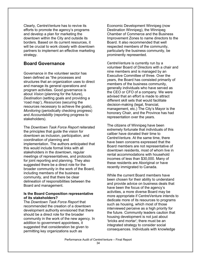Clearly, CentreVenture has to revive its efforts to promote the agency's programs and develop a plan for marketing the downtown within the City and outside its borders. Based on its current resources, it will be crucial to work closely with downtown partners to implement an effective marketing strategy.

### **Board Governance**

Governance in the volunteer sector has been defined as "the processes and structures that an organization uses to direct and manage its general operations and program activities. Good governance is about *Vision* (planning for the future), *Destination* (setting goals and providing a 'road map'), *Resources* (securing the resources necessary to achieve the goals), *Monitoring* (periodically checking progress) and *Accountability* (reporting progress to stakeholders).

The *Downtown Task Force Report* reiterated the principles that guide the vision for downtown as inclusion, participation, and coordination of planning and implementation. The authors anticipated that this would include formal links with all stakeholders in the downtown, regular meetings of representatives, and protocols for joint reporting and planning. They also suggested there be a direct role for the broader community in the work of the Board, including members of the business community, and that there be clear delineation of responsibilities between the Board and management.

#### **Is the Board Composition representative of its stakeholders?**

The *Downtown Task Force Report* that recommended the creation of a downtown development authority envisioned that there should be a direct role for the broader community in the work of the new agency. In addition to government appointees, it suggested that consideration be given to permitting key organizations such as

Economic Development Winnipeg (now Destination Winnipeg), the Winnipeg Chamber of Commerce and the Business Improvement Zones to name directors to the Board. It also recommended that well respected members of the community, particularly the business community, be prominently represented.

CentreVenture is currently run by a volunteer Board of Directors with a chair and nine members and is managed by an Executive Committee of three. Over the years, the Board has consisted primarily of members of the business community, generally individuals who have served as the CEO or CFO of a company. We were advised that an effort is made to attract different skill sets that would facilitate decision-making (legal, financial, management, etc.) The City's Mayor is the honorary Chair, and the Province has had representation over the years.

The citizens of Winnipeg have been extremely fortunate that individuals of this caliber have donated their time to CentreVenture. At the same time, there have been concerns expressed that the Board members are not representative of downtown residents, most of whom live in rental accommodations with household incomes of less than \$30,000. Many of these residents are Aboriginal or have recently immigrated to Canada.

While the current Board members have been chosen for their ability to understand and provide advice on business deals that have been the focus of the agency's activities, a more diverse Board may be more appropriate if CentreVenture intends to dedicate more of its resources to programs such as housing, which most of those interviewed perceive as a high priority for the future. Community leaders caution that housing development is not just about 'bricks and mortar'; there must be an integrated strategy to consider social consequences. Individuals with knowledge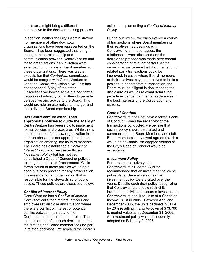in this area might bring a different perspective to the decision-making process.

In addition, neither the City's Administration nor members of other downtown organizations have been represented on the Board. It has been suggested that it might strengthen the relationship and communication between CentreVenture and these organizations if an invitation were extended to nominate a Board member from these organizations. There was also an expectation that *CentrePlan* committees would be merged with CentreVenture to keep the *CentrePlan* vision alive. This has not happened. Many of the other jurisdictions we looked at maintained formal networks of advisory committees to provide perspective and advice to the Board. This would provide an alternative to a larger and more diverse Board membership.

#### **Has CentreVenture established appropriate policies to guide the agency?**

CentreVenture has been slow to implement formal policies and procedures. While this is understandable for a new organization in its start-up phase, it is not appropriate for an organization entering into its third mandate. The Board has established a *Conflict of Interest Policy* and, very recently, an *Investment Policy* but has not yet established a Code of Conduct or policies relating to Loans and Procurement. While formalization of these policies would be a good business practice for any organization, it is essential for an organization that is responsible for the stewardship of public assets. These policies are discussed below:

#### *Conflict of Interest Policy*

CentreVenture has a *Conflict of Interest Policy* that calls for directors, officers and employees to disclose any situation where there is a conflict of interest or potential conflict between their duty to the Corporation and their other interests. The minutes are to reflect such declarations and the fact that the Board member took no part in related decisions. We applaud the Board's action in implementing a *Conflict of Interest Policy*.

During our review, we encountered a couple of transactions where Board members or their relatives had dealings with CentreVenture. In both cases, the relationships were disclosed and the decision to proceed was made after careful consideration of relevant factors. At the same time, we believe that documentation of related party transactions could be improved. In cases where Board members or their relatives may be perceived to be in a position to benefit from a transaction, the Board must be diligent in documenting the disclosure as well as relevant details that provide evidence that the transaction was in the best interests of the Corporation and citizens.

#### *Code of Conduct*

CentreVenture does not have a formal Code of Conduct. Given the sensitivity of the transactions conducted, we believe that such a policy should be drafted and communicated to Board Members and staff. Board members interviewed agreed that this would be advisable. An adapted version of the City's Code of Conduct would be acceptable.

#### *Investment Policy*

For three consecutive years, CentreVenture's External Auditor recommended that an investment policy be put in place. Several versions of an investment policy were drafted over the years. Despite each draft policy recognizing that CentreVenture should restrict its investment activities to secured investments, CentreVenture acquired units of a Canadian Income Trust in 2005. Between April and December 2005, the units declined in value by 20% resulting in a write-down of \$73,700 to market value as at December 31, 2005. An investment policy was subsequently adopted on February 9, 2006.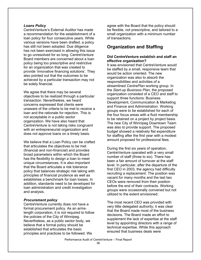#### *Loans Policy*

CentreVenture's External Auditor has made a recommendation for the establishment of a loan policy for four consecutive years. While various versions have been drafted, a policy has still not been adopted. Due diligence has not been exercised in allowing this issue to go unresolved for so long. CentreVenture Board members are concerned about a loan policy being too prescriptive and restrictive for an organization that was created to provide 'innovative financing solutions'. They also pointed out that the outcomes to be achieved by a particular transaction may not be solely financial.

We agree that there may be several objectives to be realized through a particular transaction. Nevertheless, we heard concerns expressed that clients were unaware of the criteria to be met to receive a loan and the rationale for rejection. This is not acceptable in a public sector organization. We have also heard that CentreVenture is not taking risks congruent with an entrepreneurial organization and does not approve loans on a timely basis.

We believe that a Loan Policy can be crafted that articulates the objectives to be met (financial and non-financial) and provides broad parameters within which the Board has the flexibility to design a loan to meet unique circumstances. It is also important that the Board articulate a risk tolerance policy that balances strategic risk taking with principles of financial prudence as well as establishes a benchmark for loan losses. In addition, standards need to be developed for loan administration and credit investigation and analysis.

#### *Procurement policy*

CentreVenture currently does not have a formal procurement policy. As an armslength corporation, it is not required to follow the policies of the City of Winnipeg. Nevertheless, as a public sector body, we believe that a formal policy should be established that articulates the basic principles and practices to be followed. We

agree with the Board that the policy should be flexible, not prescriptive, and tailored to a small organization with a minimum number of transactions.

### **Organization and Staffing**

#### **Did CentreVenture establish and staff an effective organization?**

It was envisioned that CentreVenture would be staffed by a small, responsive team that would be action oriented. The new organization was also to absorb the responsibilities and activities of a streamlined *CentrePlan* working group. In the *Start-up Business Plan*, the proposed organization consisted of a CEO and staff to support three functions: Business Development, Communication & Marketing and Finance and Administration. Working groups were to be established for each of the four focus areas with a fluid membership to be retained on a project by project basis. The new City of Winnipeg Downtown Team was also to provide support. The proposed budget showed a relatively flat expenditure for staffing after the first year with a modest amount proposed for professional fees.

During the first six years of operation, CentreVenture operated with a very small number of staff (three to six). There has been a fair amount of turnover at the staff level. In particular, after the departure of the first CEO in 2003, the agency had difficulty recruiting a replacement. The position was vacant for many months and the last two CEOs were removed from their position before the end of their contracts. Working groups were occasionally convened but not utilized to the extent envisioned.

The most recent CEO was provided with very little delegated authority; it was clear that the Board made most of the business decisions. The Board made an effort to supplement the lack of expertise at the staff level by appointing directors with a range of technical expertise. While this approach ensured that business deals were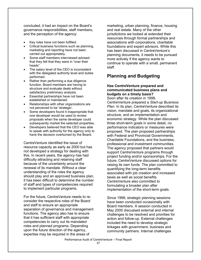concluded, it had an impact on the Board's governance responsibilities, staff members, and the perception of the agency:

- Key roles have not been fulfilled.
- Critical business functions such as planning, marketing and reporting have not been carried out appropriately.
- Some staff members interviewed advised that they felt that they were in "over their heads".
- The salary level of the CEO is inconsistent with the delegated authority level and duties performed.
- Rather than performing a due diligence function, Board members are having to structure and evaluate deals without satisfactory preliminary analysis.
- Essential partnerships have not been established or maintained.
- Relationships with other organizations are not perceived to be 'strategic'.
- Some developers found it inappropriate that one developer would be used to review proposals when the same developer could subsequently market the selected properties.
- Developers believed that the CEO was able to speak with authority for the agency only to have the decision overturned by the Board.

CentreVenture identified the issue of resource capacity as early as 2000 but has not developed a strategy for dealing with this. In recent years, the agency has had difficulty attracting and retaining staff because of the uncertainty around the renewal of its mandate. Without a clear understanding of the roles the agency should play and an approved business plan, it has been difficult to determine the number of staff and types of competencies required to implement particular programs.

For the future, CentreVenture needs to reconsider the respective roles of the Board and staff to ensure an appropriate separation of governance and management functions. The agency also has to ensure that it has sufficient staff with appropriate competencies to carry out its mandated roles and planned programs. Depending upon the future direction of the agency, expertise may be required in the areas of

marketing, urban planning, finance, housing and real estate. Many of the other jurisdictions we looked at extended their resources through formal partnerships and associations with corporations, charitable foundations and expert advisors. While this has been discussed in CentreVenture's planning documents, it needs to be pursued more actively if the agency wants to continue to operate with a small, permanent staff.

### **Planning and Budgeting**

#### **Has CentreVenture prepared and communicated business plans and budgets on a timely basis?**

Soon after its creation in 1999, CentreVenture prepared a *Start-up Business Plan.* In its plan, CentreVenture described its vision, mandate and goals, its organizational structure, and an implementation and economic strategy. While the plan discussed three short-term goals in some detail, no performance indicators or measures were proposed. The plan proposed partnerships with Federal and Provincial Governments, Charitable Foundations, and the business, professional and investment communities. The agency proposed that partners would support CentreVenture programs through project funding and/or sponsorships. For the future, CentreVenture discussed options for raising its own funds. The plan committed to quantifying the long-term benefits associated with job creation and increased taxes as well as social benefits. CentreVenture also committed to formulating a broader plan after implementation of the short-term goals.

Since 1999, strategic planning sessions have been conducted occasionally with Board members. A session conducted in May 2000 discussed external and internal challenges to be resolved and priorities for action and follow-up. External challenges included the need to develop strategic linkages with government, business and community partners. Internal challenges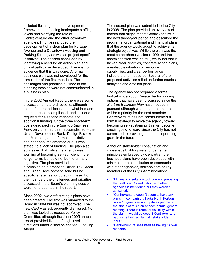included fleshing out the development framework, addressing inadequate staffing levels and clarifying the role of CentreVenture and the other downtown agencies. Priorities included the development of a clear plan for Portage Avenue and a Downtown Housing and Parking Strategy as well as project-specific initiatives. The session concluded by identifying a need for an action plan and critical path to be developed. There is no evidence that this was done. A formal business plan was not developed for the remainder of the first mandate. The challenges and priorities outlined in the planning session were not communicated in a business plan.

In the 2002 Annual Report, there was some discussion of future directions, although most of the report focused on what had and had not been accomplished, and included requests for a second mandate and additional funding. Of the three short-term goals described in the *Start-up Business Plan*, only one had been accomplished – the Urban Development Bank. Design Review and Marketing and Information initiatives had not been implemented due, it was stated, to a lack of funding. The plan also suggested that, while the agency was working at becoming self-sufficient in the longer term, it should not be the primary objective. The plan provided some discussion on a proposed Urban Tax Credit and Urban Development Bond but no specific strategies for pursuing these. For the most part, the challenges and priorities discussed in the Board's planning session were not presented in the report.

Since 2002, two draft strategic plans have been created. The first was submitted to the Board in 2004 but was not approved. The new CEO was subsequently dismissed. No plan was tabled at Executive Policy Committee although the June 2005 annual report provided five brief, high level directions under a section entitled, "Looking Ahead".

The second plan was submitted to the City in 2006. The plan provided an overview of factors that might impact CentreVenture in the next three-year period and described the programs, organizational and financial plans that the agency would adopt to achieve its strategic objectives. While the plan was the most comprehensive since 1999 and the context section was helpful, we found that it lacked clear priorities, concrete action plans, a realistic evaluation of resource capabilities, and clear performance indicators and measures. Several of the proposed activities relied on further studies, analyses and detailed plans.

The agency has not prepared a formal budget since 2003. Private Sector funding options that have been discussed since the *Start-up Business Plan* have not been pursued although we understand that this will be a priority for the next mandate. CentreVenture has not communicated a formal strategy to move the agency toward becoming self-sustaining; this will become crucial going forward since the City has not committed to providing an annual operating grant in the future.

Although stakeholder consultation and consensus building were fundamental principles embraced by CentreVenture, business plans have been developed with minimal or no consultation or communication with other agencies, stakeholders or key members of the City's Administration:

- "Minimal consultation took place in preparing the draft plan. Coordination with other agencies is mentioned but they weren't consulted."
- "CentreVenture doesn't seem to have any plans. In comparison, Forks North Portage has a 10-year plan and updates people on the status of this plan at each annual general meeting. There is room for flexibility within the plan. It would be good if CentreVenture had something similar with stakeholder input."
- "CentreVenture sees itself as having its own mandate."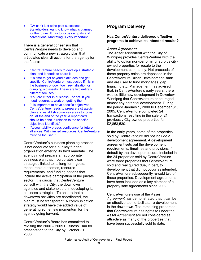• "CV can't just echo past successes. Stakeholders want to know what is planned for the future. It has to focus on goals and perceptions. Marketing is very important."

There is a general consensus that CentreVenture needs to develop and communicate a new strategic plan that articulates clear directions for the agency for the future:

- "CentreVenture needs to develop a strategic plan, and it needs to share it.
- "It's time to get beyond platitudes and get specific. CentreVenture must decide if it is in the business of downtown revitalization or dumping old assets. These are two entirely different focuses."
- "You are either in business…or not. If you need resources, work on getting them."
- "It is important to have specific objectives. CentreVenture needs to prepare a strategic plan and establish some key areas to focus on. At the end of the year, a report card should be done in relation to the specific objectives identified."
- "Accountability breeds confidence for future alliances. With limited resources, CentreVenture must be focused."

CentreVenture's business planning process is not adequate for a publicly funded organization entering its third mandate. The agency must prepare an appropriate business plan that incorporates clear strategies linked to its long-term goals, measurable outcomes, resource requirements, and funding options that include the active participation of the private sector. It is crucial that CentreVenture consult with the City, the downtown agencies and stakeholders in developing its business strategies. To ensure that all downtown activities are coordinated, the plan must be transparent. A communication strategy would have the added value of generating some new momentum for the agency going forward.

CentreVenture's Board has committed to revising the 2006 – 2009 Business Plan for presentation to the City by October 31, 2006.

### **Program Delivery**

#### **Has CentreVenture delivered effective programs to achieve its intended results?**

#### *Asset Agreement*

The *Asset Agreement* with the City of Winnipeg provides CentreVenture with the ability to option non-performing, surplus cityowned properties for resale to the development community. Net proceeds of these property sales are deposited in the CentreVenture Urban Development Bank and are used to fund mortgages, gap financing etc. Management has advised that, in CentreVenture's early years, there was so little new development in Downtown Winnipeg that CentreVenture encouraged almost any potential development. During the period January 1, 2000 to December 31, 2005, CentreVenture completed 24 transactions resulting in the sale of 21 previously City-owned properties for \$2,853,530.

In the early years, some of the properties sold by CentreVenture did not include a development agreement. A development agreement sets out the development requirements, timelines and provisions if default by the developer occurs. Included in the 24 properties sold by CentreVenture were three properties that CentreVenture sold and reacquired due, in part, to development that did not occur as intended. CentreVenture subsequently re-sold two of these properties. Development agreements have been included as a key element of all property sale agreements since 2002.

CentreVenture's use of the *Asset Agreement* has demonstrated that it can be an effective tool to facilitate re-development in the downtown. The remaining properties that CentreVenture has rights to under the *Asset Agreement* are not considered as attractive as many of the properties that have been successfully sold to date.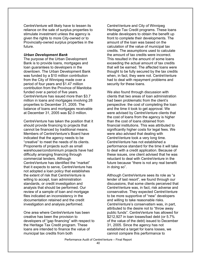CentreVenture will likely have to lessen its reliance on the sale of surplus properties to stimulate investment unless the agency is given the rights to more City-owned or to Provincially-owned surplus properties in the future.

#### *Urban Development Bank*

The purpose of the Urban Development Bank is to provide loans, mortgages and loan guarantees to developers in the downtown. The Urban Development Bank was funded by a \$10 million contribution from the City of Winnipeg made over a period of four years and \$1.47 million contribution from the Province of Manitoba funded over a period of five years. CentreVenture has issued more than \$3.7 million in loans and mortgages involving 28 properties to December 31, 2005. The balance of loans and mortgages receivable at December 31, 2005 was \$2.0 million.

CentreVenture has taken the position that it should provide financing to projects that cannot be financed by traditional means. Members of CentreVenture's Board have indicated that the agency needs to be "creative" to meet the needs of its clients. Proponents of projects such as small warehouse/condominium projects have had difficulty arranging financing through commercial lenders. Although CentreVenture has identified the "market" that it expects to serve, CentreVenture has not adopted a loan policy that establishes the extent of risk that CentreVenture is willing to accept, loan administration standards, or credit investigation and analysis that should be performed. Our review of a sample of loan and mortgage files indicated an inconsistency in the documentation retained and the credit investigation and analysis performed.

One area where CentreVenture has been creative has been the provision to developers of "gap financing" with respect to the Heritage Tax Credit program. These loans are intended to finance the value of municipal tax credits from both

CentreVenture and City of Winnipeg Heritage Tax Credit programs. These loans enable developers to obtain the benefit up front to complete their developments. The amount of the loan was based on the calculation of the value of municipal tax credits. The assumptions used to calculate the amount of tax credits were incorrect. This resulted in the amount of some loans exceeding the actual amount of tax credits that will be earned. The affected loans were thought to be fully secured by the tax credits when, in fact, they were not. CentreVenture had to deal with repayment problems and security for these loans.

We also found through discussion with clients that two areas of loan administration had been problematic from the client's perspective: the cost of completing the loan and the time it took to get approval. We were advised by CentreVenture clients that the cost of loans from the agency is higher than the cost of loans obtained from financial institutions. This was attributed to significantly higher costs for legal fees. We were also advised that dealing with CentreVenture took a very long time. CentreVenture has not established a performance standard for the time it will take to deal with a credit application. Because of these issues, one client advised that he was reluctant to deal with CentreVenture in the future because "there is not any real benefit in doing so".

Although CentreVenture sees its role as "a lender of last resort", we found through our discussions, that some clients perceived that CentreVenture was, in fact, risk adverse and conservative. They expected CentreVenture to be more supportive of "new" developers and willing to take reasonable risks. CentreVenture's conservatism was, in part, attributed to the desire not to "throw away public funds". CentreVenture has allowed for \$212,927 in loan losses/bad debt (or 5.7% of the value of the debt) issued to December 31, 2005. Since the agency has not established a target for loans losses, we cannot compare this performance to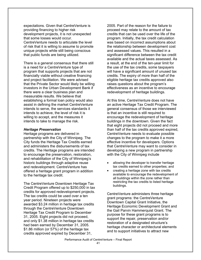expectations. Given that CentreVenture is providing financing to higher risk development projects, it is not unexpected that some losses would occur. CentreVenture needs to articulate the level of risk that it is willing to assume to promote unique projects while still being conscious that public funds are being utilized.

There is a general consensus that there still is a need for a CentreVenture type of program that supports projects that are not financially viable without creative financing and project facilitation. We were advised that the Private Sector would likely be willing investors in the Urban Development Bank if there were a clear business plan and measurable results. We believe that establishing a formal loan policy would also assist in defining the market CentreVenture intends to serve, the services standards it intends to achieve, the level of risk it is willing to accept, and the measures it intends to take to manage the risk.

#### *Heritage Preservation*

Heritage programs are delivered in partnership with the City of Winnipeg. The City funds the Heritage Tax Credits earned and administers the disbursements of tax credits. The Heritage programs are intended to encourage the preservation, restoration, and rehabilitation of the City of Winnipeg's historic buildings through adaptive reuse and redevelopment. CentreVenture has offered a heritage grant program in addition to the heritage tax credit.

The CentreVenture Downtown Heritage Tax Credit Program offered up to \$250,000 in tax credits for approved redevelopment projects. The tax credits could be used over a ten year period. Nineteen projects were awarded \$3.24 million in heritage tax credits through the CentreVenture Downtown Heritage Tax Credit Program to December 31, 2005. Eight projects did not proceed, and only \$1.38 million in heritage tax credits had been earned by December 31, 2005. \$1.86 million (or 57%) of the heritage tax credits approved expired by December 31,

2005. Part of the reason for the failure to proceed may relate to the amount of tax credits that can be used over the life of the program. Initially, the tax credit calculation was based on incorrect assumptions about the relationship between development cost and assessed values. This resulted in a significant difference between the tax credit available and the actual taxes assessed. As a result, at the end of the ten-year limit for the use of the tax credits, some taxpayers will have a significant amount of unused tax credits. The expiry of more than half of the eligible heritage tax credits approved also raises questions about the program's effectiveness as an incentive to encourage redevelopment of heritage buildings.

At this time, CentreVenture does not have an active Heritage Tax Credit Program. The general consensus of those we interviewed is that an incentive is still required to encourage the redevelopment of heritage buildings in the downtown. Given the fact that eight projects did not proceed and more than half of the tax credits approved expired, CentreVenture needs to evaluate possible changes to the program to make it a more effective incentive for developers. Options that CentreVenture may want to consider in developing a new program in partnership with the City of Winnipeg include

- allowing the developer to transfer heritage tax credits earned to other properties; and
- creating a heritage zone with tax credits available to encourage the redevelopment of all buildings within the zone rather than restricting the tax credits to listed heritage buildings.

CentreVenture administers three heritage grant programs: the CentreVenture Downtown Capital Grant Initiative, the Heritage Economic Development Grant and the Gail Parvin Hammerquist Grant. The purpose for these grant programs is to support the repair, preservation and/or restoration of a designated structure's heritage character or architectural elements and to support initiatives to attract new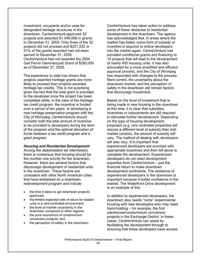investment, occupants and/or uses for designated heritage structures in the downtown. CentreVenture approved 32 projects and awarded \$1,049,066 in grants to December 31, 2005. Only three of the 32 projects did not proceed and \$221,232 or 21% of the grants awarded had not been earned to December 31, 2005. CentreVenture had not awarded the 2004 Gail Parvin Hammerquist Grant of \$290,000 as of December 31, 2005.

The experience to date has shown that projects awarded heritage grants are more likely to proceed than projects awarded heritage tax credits. This is not surprising given the fact that the total grant is provided to the developer once the project has been completed while, in the case of the heritage tax credit program, the incentive is funded over a period of ten years. In developing a new heritage preservation program with the City of Winnipeg, CentreVenture should consider both the total amount of incentive to be provided to developers during the term of the program and the optimal allocation of funds between a tax credit program and a grant program.

#### *Housing and Residential Development*

Among the stakeholders we interviewed, there is consensus that housing should be the number one priority for the downtown. However, there are several factors that discourage development of residential units in the downtown. These factors are consistent with other North American cities that have embarked on a downtown redevelopment program and include

- the time it takes to get downtown projects approved;
- the limited expected rate of return for leased units in a rent controlled environment;
- the level of market uncertainty in the downtown compared to other regions;
- the pure economics of condominium conversion projects; and
- the perception of safety in the downtown.

CentreVenture has taken action to address some of these obstacles to residential development in the downtown. The agency has acknowledged that, in areas where the market has failed, some form of subsidy or incentive is required to entice developers into the market again. CentreVenture has provided conditional grants and financing to 14 projects that will lead to the development of nearly 400 housing units. It has also advocated for a more simplified and efficient approval process, and the City of Winnipeg has responded with changes to the process. Rent control, the uncertainty about the downtown market, and the perception of safety in the downtown still remain factors that discourage investment.

Based on the level of investment that is being made in new housing in the downtown at this time, it is clear that subsidies, incentives or inducements are still required to stimulate further development. Depending on the type of housing development proposed (e.g. rent controlled properties will require a different level of subsidy than midmarket condos), the amount of subsidy will vary. The method of dealing with developers will also vary. It is important that experienced developers are provided with appropriate incentives and then left alone to complete the development. Experienced developers do not need development expertise from CentreVenture – just the financial return to make downtown development worthwhile. The existence of experienced developers in the downtown is important because it builds confidence in the market. The Waterfront Drive development is an example of this.

In addition to experienced developers, the downtown also needs "niche" experimental housing with new developers who may need hand-holding – for example, the first warehouse/condominium conversion projects in the Exchange District. In these cases, CentreVenture can assist by facilitating the development through to ensuring that these developers have access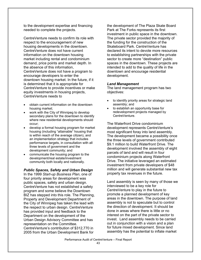to the development expertise and financing needed to complete the projects.

CentreVenture needs to confirm its role with respect to the encouragement of new housing developments in the downtown. CentreVenture does not have current information on the downtown housing market including rental and condominium demand, price points and market depth. In the absence of this information, CentreVenture does not have a program to encourage developers to enter the downtown housing market. In the future, if it is determined that it is appropriate for CentreVenture to provide incentives or make equity investments in housing projects, CentreVenture needs to

- obtain current information on the downtown housing market;
- work with the City of Winnipeg to develop secondary plans for the downtown to identify where new residential developments should occur;
- develop a formal housing program for market housing (including "attainable" housing that is within reach of the average citizen), and an implementation strategy that includes performance targets, in consultation with all three levels of government and the development community; and
- communicate the housing program to the development/real estate/investment community both locally and nationally.

#### *Public Spaces, Safety and Urban Design*

In the 1999 *Start-up Business Plan*, one of four priority areas for development was public spaces, safety and urban design. CentreVenture has not established a safety program and some believe the Downtown BIZ has stepped into this role. The Planning, Property and Development Department of the City of Winnipeg has taken the lead with the respect to urban design. CentreVenture has provided input and feedback to the Department on the development of the Urban Design Advisory Committee and has representation on the Committee. CentreVenture's contribution of \$312,770 in 2005 from the Urban Development Bank for

the development of The Plaza Skate Board Park at The Forks represents its first investment in public space in the downtown. The private sector provided the majority of the funding for the construction of the Skateboard Park. CentreVenture has declared its intent to devote more resources to establishing partnerships with the private sector to create more "destination" public spaces in the downtown. These projects are intended to add to the quality of life in the downtown and encourage residential development.

#### *Land Management*

The land management program has two objectives:

- to identify priority areas for strategic land assembly; and
- to establish an opportunity base for redevelopment projects managed by CentreVenture.

The Waterfront Drive condominium development represents CentreVenture's most significant foray into land assembly. The development became a possibility once the three levels of government contributed \$9.1 million to build Waterfront Drive. The development involved the assembly of eight parcels of land and will result in four condominium projects along Waterfront Drive. The initiative leveraged an estimated investment from private developers of \$48 million and will generate substantial new tax property tax revenues in the future.

Land assembly is seen by many of those we interviewed to be a key role for CentreVenture to play in the future to promote a planned development of key areas in the downtown. The purpose of land assembly is not to speculate but to control the direction of development. It should be done in areas where there is little or no interest on the part of the private sector to invest. Land assembly needs to be carried out in conjunction with a vision and a plan for future mixed development. Since land assembly has the potential to inflate market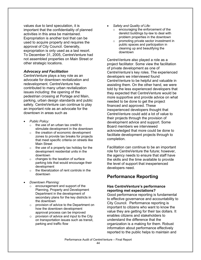values due to land speculation, it is important that the confidentiality of planned activities in this area be maintained. Expropriation is another tool that can be used to acquire property and requires the approval of City Council. Generally, expropriation is only used as a last resort. To December 31, 2005, CentreVenture had not assembled properties on Main Street or other strategic locations.

#### *Advocacy and Facilitation*

CentreVenture plays a key role as an advocate for downtown revitalization and redevelopment. CentreVenture has contributed to many urban revitalization issues including: the opening of the pedestrian crossing at Portage and Main, parking, urban design standards and public safety. CentreVenture can continue to play an important role as an advocate for the downtown in areas such as

- *Public Policy:* 
	- $\circ$  the use of an urban tax credit to stimulate development in the downtown
	- o the creation of economic development zones to provide tax breaks for projects that meet specific criteria on streets like Main Street
	- $\circ$  the use of a property tax holiday for the development residential units in the downtown
	- o changes to the taxation of surface parking lots that would encourage their development
	- o the liberalization of rent controls in the downtown
- *Downtown Planning:* 
	- encouragement and support of the Planning, Property and Development Department in the development of secondary plans for the key districts in the downtown
	- o provision of advice to the Department on how the downtown development approval process can be improved
	- $\circ$  provision of advice and input to the City on transportation issues such as transit, parking and traffic flow
- *Safety and Quality of Life:* 
	- encouraging the enforcement of the derelict buildings by-law to deal with problem properties in the downtown
	- o promoting private sector investment in public spaces and participation in cleaning up and beautifying the downtown

CentreVenture also played a role as a project facilitator. Some view the facilitation of private development as one of CentreVenture's key roles. The experienced developers we interviewed found CentreVenture to be helpful and valuable in assisting them. On the other hand, we were told by the less experienced developers that they expected that CentreVenture would be more supportive and provide advice on what needed to be done to get the project financed and approved. These inexperienced developers thought that CentreVenture could add a lot of value to their projects through the provision of development advice and support. Some Board members we interviewed acknowledged that more could be done to facilitate development projects through to completion.

Facilitation can continue to be an important role for CentreVenture the future; however, the agency needs to ensure that staff have the skills and the time available to provide the level of support that inexperienced developers need.

### **Performance Reporting**

#### **Has CentreVenture's performance reporting met expectations?**

Good performance reporting is fundamental to effective governance and accountability to City Council. Performance reporting is important to citizens who want to know the value they are getting for their tax dollars. It enables citizens and stakeholders to understand the difference that the organization is a making for them. Robust information about performance effectively reported to the public helps to maintain and

Performance Audit of CentreVenture – Final Report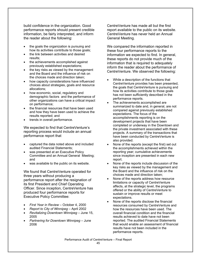build confidence in the organization. Good performance reports should present credible information, be fairly interpreted, and inform the reader about the following:

- the goals the organization is pursuing and how its activities contribute to those goals;
- the link between activities and desired results;
- the achievements accomplished against previously established expectations;
- the key risks as viewed by the management and the Board and the influence of risk on the choices made and direction taken;
- how capacity considerations have influenced choices about strategies, goals and resource allocations;
- how economic, social, regulatory and demographic factors and the performance of other organizations can have a critical impact on performance;
- the financial resources that have been used and how they have been used to achieve the results reported; and
- trends in overall performance.

We expected to find that CentreVenture's reporting process would include an annual performance report that

- captured the data noted above and included audited Financial Statements;
- was presented at an Executive Policy Committee and an Annual General Meeting; and
- was available to the public on its website.

We found that CentreVenture operated for three years without producing a performance report after the resignation of its first President and Chief Operating Officer. Since inception, CentreVenture has produced four performance reports for Executive Policy Committee:

- *First Year in Review* October 4, 2000
- *Report to City of Winnipeg* April 2002
- *Revitalizing Downtown Winnipeg*  June 15, 2005
- *Partnering for Downtown Winnipeg* June 2006

CentreVenture has made all but the first report available to the public on its website. CentreVenture has never held an Annual General Meeting.

We compared the information reported in these four performance reports to the information we expected to find. In general, these reports do not provide much of the information that is required to adequately inform the reader about the performance of CentreVenture. We observed the following:

- While a description of the functions that CentreVenture provides has been presented, the goals that CentreVenture is pursuing and how its activities contribute to those goals has not been sufficiently described in the performance reports.
- The achievements accomplished are summarized to date and, in general, are not compared against previously established expectations. The focus of the accomplishments reporting is on the development projects that have been completed or underway in the Downtown and the private investment associated with these projects. A summary of the transactions that have been conducted by CentreVenture is also provided.
- None of the reports (except the first) set out the accomplishments achieved within the reporting year; cumulative achievements since inception are presented in each new report.
- None of the reports include discussion of the key risks as viewed by the management and the Board and the influence of risk on the choices made and direction taken;
- None of the reports address how resource limitations or capacity of CentreVenture affects, at the strategic level, the programs offered or the ability of CentreVenture to sustain or improve results or meet expectations.
- None of the reports disclose the financial resources consumed by CentreVenture and how the resources have been used. The overall financial condition and the financial results achieved to date have not been reported. The audited Financial Statements that would enable an assessment of financial results have not been included in the performance reports.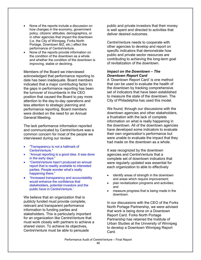- None of the reports include a discussion on how changes in the economy, government policy, citizens' attitudes, demographics, or in other agencies that impact the downtown (i.e. the City of Winnipeg, Forks North Portage, Downtown BIZ, etc.) affect the performance of CentreVenture.
- None of the reports provide information on the condition of the downtown as a whole and whether the condition of the downtown is improving, stable or declining.

Members of the Board we interviewed acknowledged that performance reporting to date has been inadequate. Board members indicated that a major contributing factor to the gaps in performance reporting has been the turnover of incumbents in the CEO position that caused the Board to pay more attention to the day-to-day operations and less attention to strategic planning and performance reporting. Board members were divided on the need for an Annual General Meeting.

The lack performance information reported and communicated by CentreVenture was a common concern for most of the people we interviewed during our review:

- *"*Transparency is not a hallmark of CentreVenture*."*
- "Annual reporting is a good idea. It was done in the early days."
- "CentreVenture hasn't produced an annual report that is readily available to interested parties. People wonder what's really happening there."
- *"*Increased transparency and accountability would enhance the confidence that stakeholders, potential investors and the public have in CentreVenture.*"*

We believe that an organization that is publicly funded must provide complete, relevant and transparent performance information to funding parties and stakeholders. This is particularly important for an organization like CentreVenture that must work closely with partners to achieve a shared vision. To achieve its objectives, CentreVenture must be able to persuade

public and private investors that their money is well spent and directed to activities that deliver desired outcomes.

CentreVenture needs to cooperate with other agencies to develop and report on specific indicators that demonstrate how public and private sector resources are contributing to achieving the long-term goal of revitalization of the downtown.

#### *Impact on the Downtown – The Downtown Report Card*

A 'Downtown Report Card' is one method that can be used to evaluate the health of the downtown by tracking comprehensive set of indicators that have been established to measure the state of the downtown. The City of Philadelphia has used this model.

We found, through our discussions with the downtown agencies and other stakeholders, a frustration with the lack of complete information on what is really happening in the downtown. All of the downtown agencies have developed some indicators to evaluate their own organization's performance but were unable to evaluate the impact that they had made on the downtown as a whole.

It was recognized by the downtown agencies and CentreVenture that a complete set of downtown indicators that were regularly updated was essential for each organization to able to effectively

- identify areas of strength in the downtown and areas which require improvement;
- plan revitalization programs and activities; and
- measure progress that is being made in the downtown.

In our discussions with the CEO of the Forks North Portage Partnership, we were advised that work is being done on a Downtown Report Card. Forks North Portage Partnership has retained the Institute of Urban Studies at the University of Winnipeg to develop a Downtown Winnipeg Report Card*.*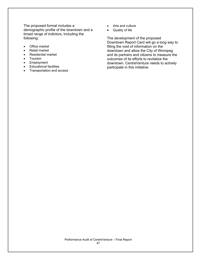The proposed format includes a demographic profile of the downtown and a broad range of indictors, including the following:

- Office market
- Retail market
- Residential market
- Tourism
- Employment
- Educational facilities
- Transportation and access
- Arts and culture
- Quality of life

The development of the proposed Downtown Report Card will go a long way to filling the void of information on the downtown and allow the City of Winnipeg and its partners and citizens to measure the outcomes of its efforts to revitalize the downtown. CentreVenture needs to actively participate in this initiative.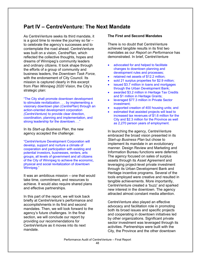# **Part IV – CentreVenture: The Next Mandate**

As CentreVenture seeks its third mandate, it is a good time to review the journey so far – to celebrate the agency's successes and to contemplate the road ahead. CentreVenture was built on a vision*, CentrePlan,* which reflected the collective thoughts, hopes and dreams of Winnipeg's community leaders and ordinary citizens. It took shape through the efforts of a group of community and business leaders, the *Downtown Task Force,*  with the endorsement of City Council. Its mission is captured clearly in this excerpt from *Plan Winnipeg 2020 Vision*, the City's strategic plan:

"The City shall promote downtown development to stimulate revitalization . . . by implementing a visionary downtown plan (*CentrePlan*) through an action-oriented development corporation *(CentreVenture)* to provide clear direction, coordination, planning and implementation, and strong leadership for the downtown. . ."

In its *Start-up Business Plan*, the new agency accepted the challenge:

"CentreVenture Development Corporation will develop, support and nurture a climate of cooperation and participation with existing and potential investors, businesses, renters, arts groups, all levels of government and all citizens of the City of Winnipeg to achieve the economic, physical and social revitalization of downtown Winnipeg."

It was an ambitious mission – one that would take time, commitment, and resources to achieve. It would also require shared plans and effective partnerships.

In this part of the report, we will look back briefly at CentreVenture's performance and accomplishments in its first and second mandates. Then, we will look forward to the agency's future challenges. In the final section, we will conclude our report by providing our recommendations for CentreVenture as it moves into its next mandate.

#### **The First and Second Mandates**

There is no doubt that CentreVenture achieved tangible results in its first two mandates as our *Report on Performance* has demonstrated. In brief, CentreVenture

- advocated for and helped to facilitate changes to downtown planning and development rules and processes;
- retained net assets of \$12.2 million;
- sold 21 surplus properties for \$2.9 million;
- issued \$3.7 million in loans and mortgages through the Urban Development Bank;
- awarded \$3.2 million in Heritage Tax Credits and \$1 million in Heritage Grants;
- leveraged \$77.3 million in Private Sector investment;
- supported creation of 400 housing units; and
- estimated that assisted projects will lead to increased tax revenues of \$1.6 million for the City and \$2.3 million for the Province as well as 2,270 person years of employment.

In launching the agency, CentreVenture embraced the broad vision presented in its *Start-up Business Plan* but chose to implement its mandate in an evolutionary manner. Design Review and Marketing and Information Bureau functions were deferred. The agency focused on sales of surplus assets through its *Asset Agreement* and leveraging project-level private investment through its Urban Development Bank and Heritage incentive programs. Several of the tools employed were creative and resulted in tangible achievements. More importantly, CentreVenture created a 'buzz' and sparked new interest in the downtown. The agency attracted almost constant media attention.

CentreVenture also played an effective advocacy and facilitation role in promoting both its broad issues and specific projects and cooperating in downtown initiatives led by other organizations. Significant private sector investment was leveraged through its activities. Partnerships were built with the City, the Province and the other downtown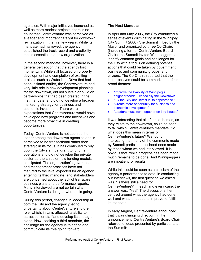agencies. With major initiatives launched as well as more modest projects, there is no doubt that CentreVenture was perceived as a leader and important catalyst for downtown revitalization in the first few years. While its mandate had narrowed, the agency established the track record and credibility that is essential to a new organization.

In the second mandate, however, there is a general perception that the agency lost momentum. While still focused on property development and completion of exciting projects such as Waterfront Drive that had been initiated earlier, the CentreVenture had very little role in new development planning for the downtown, did not sustain or build on partnerships that had been created in the first mandate, and did not develop a broader marketing strategy for business and economic investment. There were expectations that CentreVenture would have developed new programs and incentives and become more proactive in creating opportunities.

Today, CentreVenture is not seen as the leader among the downtown agencies and is perceived to be transactional rather than strategic in its focus. It has continued to rely upon the City's annual grant to fund its operations and did not develop the private sector partnerships or new funding models anticipated. The organization's governance and management practices have not matured to the level expected for an agency entering its third mandate, and stakeholders are concerned about the lack of transparent business plans and performance reports. Many interviewed are not certain what CentreVenture is doing or where it is going.

During this period, changes in leadership at both the City and the agency led to uncertainty about CentreVenture's future role, which, in turn, affected its ability to attract senior staff and develop its strategic plans. Now, seeking a third mandate, the challenge for the agency is to define and communicate its role going forward.

#### **The Next Mandate**

In April and May 2006, the City conducted a series of events culminating in the Winnipeg City Summit 2006 ("the Summit"). Led by the Mayor and organized by three Co-Chairs (including a former CentreVenture Board Chair), the Summit invited Winnipeggers to identify common goals and challenges for the City with a focus on defining potential actions that could be taken by government, business and community groups, and citizens. The Co-Chairs reported that the input received could be summarized as four broad themes:

- "Improve the livability of Winnipeg's neighborhoods – especially the Downtown."
- "Fix the City and invest in its appearance."
- "Create more opportunity for business and economic development."
- "Leaders must work together on key issues."

It was interesting that all of these themes, as they relate to the downtown, could be seen to fall within CentreVenture's mandate. So what does this mean in terms of CentreVenture's future? We found it interesting that many of the comments made by Summit participants echoed ones made by those whom we had interviewed. It is obvious that, while progress has been made, much remains to be done. And Winnipeggers are impatient for results.

While this could be seen as a criticism of the agency's performance to date, in conducting our interviews, the first question we asked was, "Is there still a need for CentreVenture?" In each and every case, the answer was, "Yes!" The discussions then centred around what the agency had done well and what it needed to improve to fulfill its mandate.

In early August, CentreVenture announced that it was changing direction. In the announcement, CentreVenture's Board Chair referred to ideas presented by participants at the Summit: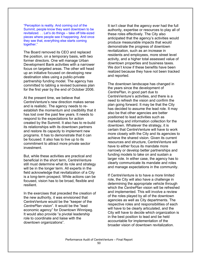"Perception is reality. And coming out of the Summit, people know they want downtown to be revitalized. . . Let's do things – take off bite-sized pieces where people see it happening. And once they see that, everything else starts coming together."

The Board removed its CEO and replaced the position, on a temporary basis, with two former directors. One will manage Urban Development Bank activities with a narrower focus on targeted areas. The other will head up an initiative focused on developing new destination sites using a public-private partnership funding model. The agency has committed to tabling a revised business plan for the first year by the end of October 2006.

At the present time, we believe that CentreVenture's new direction makes sense and is realistic. The agency needs to reestablish the momentum and credibility that it has lost over the past few years. It needs to respond to the expectations for action created by the Summit. It also has to re-build its relationships with its downtown partners and restore its capacity to implement new programs. It has to demonstrate that it can be focused. It also has to live up to its commitment to attract more private sector investment.

But, while these activities are practical and beneficial in the short term, CentreVenture still must determine what its role and strategy will be in the longer term. All experts in the field acknowledge that revitalization of a City is a long-term prospect. While actions can be focused, vision has to be broad, flexible and resilient.

In the exercises that preceded the creation of the new authority, it was envisioned that CentreVenture would be the "keeper of the *CentrePlan* vision". It would be the "lead economic agency" for Downtown Winnipeg. It would also provide "a pivotal leadership role to coordinate and liaise with the downtown organizations".

It isn't clear that the agency ever had the full authority, expertise or resources to play all of these roles effectively. The City also anticipated that the agency's activities would produce measurable impacts that would demonstrate the progress of downtown revitalization, such as an increase in residents and employees, more street level activity, and a higher total assessed value of downtown properties and business taxes. We don't know if these benefits have been realized because they have not been tracked and reported.

The downtown landscape has changed in the years since the development of *CentrePlan*, in good part due to CentreVenture's activities, and there is a need to refresh the vision and confirm the plan going forward. It may be that the City has decided to assume the lead role. It may also be that other agencies are better positioned to lead activities such as marketing and information collection for the downtown. Whatever the strategy, it is certain that CentreVenture will have to work more closely with the City and its agencies to achieve the shared vision. Given its current resources and structure, CentreVenture will have to either focus its mandate more narrowly or develop better partnerships and funding models to take on and sustain a larger role. In either case, the agency has to clearly communicate its mandate and roles and manage expectations in the community.

If CentreVenture is to have a more limited role, the City will also have a challenge in determining the appropriate vehicle through which the *CentrePlan* vision will be refreshed and implemented. This will involve a review of the roles played by all of the downtown agencies as well as City departments. The respective roles and responsibilities of each will have to be clearly articulated, and the City will have to decide which organization is in the best position to lead and be held accountable for implementation of the broader vision of downtown revitalization.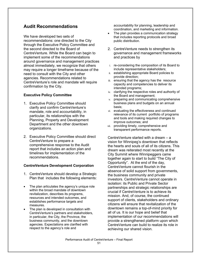### **Audit Recommendations**

We have developed two sets of recommendations: one directed to the City through the Executive Policy Committee and the second directed to the Board of CentreVenture. While the Board can begin to implement some of the recommendations around governance and management practices almost immediately, we recognize that others may require a longer timeframe because of the need to consult with the City and other agencies. Recommendations related to CentreVenture's role and mandate will require confirmation by the City.

#### **Executive Policy Committee**

- 1. Executive Policy Committee should clarify and confirm CentreVenture's mandate, role and accountability, in particular, its relationships with the Planning, Property and Development Department and the other downtown organizations.
- 2. Executive Policy Committee should direct CentreVenture to prepare a comprehensive response to the Audit report that includes an action plan and timelines for implementation of the recommendations.

#### **CentreVenture Development Corporation**

- 1. CentreVenture should develop a Strategic Plan that includes the following elements:
- The plan articulates the agency's unique role within the broad mandate of downtown revitalization, describes its programs, resources and intended outcomes, and establishes performance targets and measures.
- The plan is developed in consultation with CentreVenture's partners and stakeholders, in particular, the City, the Province, the business community, and the downtown agencies. Expectations are clarified with respect to the agency's role and

accountability for planning, leadership and coordination, and marketing and information.

- The plan provides a communication strategy that includes reporting protocols and broad public distribution.
- 2. CentreVenture needs to strengthen its governance and management frameworks and practices by
- i. re-considering the composition of its Board to include representative stakeholders;
- ii. establishing appropriate Board policies to provide direction;
- iii. ensuring that the agency has the resource capacity and competencies to deliver its intended programs;
- iv. clarifying the respective roles and authority of the Board and management;
- v. preparing and communicating comprehensive business plans and budgets on an annual basis;
- vi. evaluating the effectiveness and continued relevance of its current portfolio of programs and tools and making required changes to improve outcomes; and
- vii. providing timely, comprehensive and transparent performance reports.

CentreVenture started with a dream – a vision for Winnipeg's downtown that reflects the hearts and souls of all of its citizens. This dream was reiterated most recently at the City Summit where Winnipeggers came together again to start to build "The City of Opportunity". At the end of the day, CentreVenture cannot flourish in the absence of solid support from governments, the business community and private investors. CentreVenture cannot operate in isolation: its Public and Private Sector partnerships and strategic relationships are crucial if CentreVenture is to achieve its mission. And, of course, the continued support of clients, stakeholders and ordinary citizens will ensure that revitalization of the downtown remains a top-of-mind priority for all of us. It is our hope and belief that implementation of our recommendations will provide a strengthened platform upon which CentreVenture can build to realize its role in achieving our shared vision.